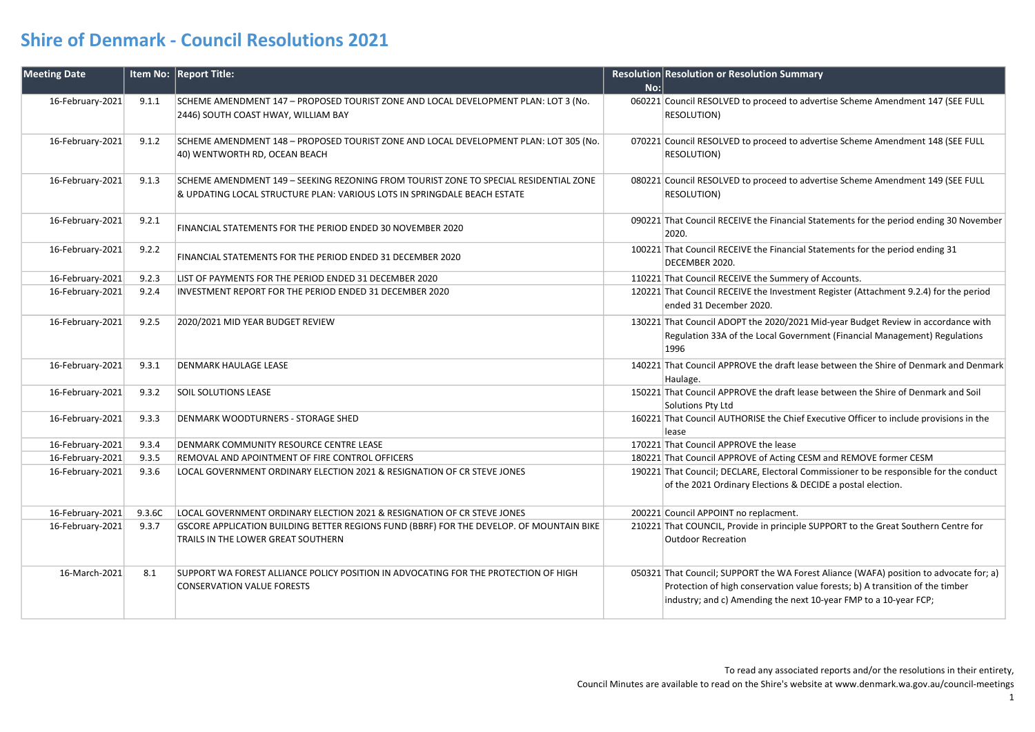| <b>Meeting Date</b> |        | Item No: Report Title:                                                                                                                                            |     | <b>Resolution Resolution or Resolution Summary</b>                                                                                                                                                                                         |
|---------------------|--------|-------------------------------------------------------------------------------------------------------------------------------------------------------------------|-----|--------------------------------------------------------------------------------------------------------------------------------------------------------------------------------------------------------------------------------------------|
|                     |        |                                                                                                                                                                   | No: |                                                                                                                                                                                                                                            |
| 16-February-2021    | 9.1.1  | SCHEME AMENDMENT 147 - PROPOSED TOURIST ZONE AND LOCAL DEVELOPMENT PLAN: LOT 3 (No.<br>2446) SOUTH COAST HWAY, WILLIAM BAY                                        |     | 060221 Council RESOLVED to proceed to advertise Scheme Amendment 147 (SEE FULL<br>RESOLUTION)                                                                                                                                              |
| 16-February-2021    | 9.1.2  | SCHEME AMENDMENT 148 - PROPOSED TOURIST ZONE AND LOCAL DEVELOPMENT PLAN: LOT 305 (No.<br>40) WENTWORTH RD, OCEAN BEACH                                            |     | 070221 Council RESOLVED to proceed to advertise Scheme Amendment 148 (SEE FULL<br>RESOLUTION)                                                                                                                                              |
| 16-February-2021    | 9.1.3  | SCHEME AMENDMENT 149 - SEEKING REZONING FROM TOURIST ZONE TO SPECIAL RESIDENTIAL ZONE<br>& UPDATING LOCAL STRUCTURE PLAN: VARIOUS LOTS IN SPRINGDALE BEACH ESTATE |     | 080221 Council RESOLVED to proceed to advertise Scheme Amendment 149 (SEE FULL<br>RESOLUTION)                                                                                                                                              |
| 16-February-2021    | 9.2.1  | FINANCIAL STATEMENTS FOR THE PERIOD ENDED 30 NOVEMBER 2020                                                                                                        |     | 090221 That Council RECEIVE the Financial Statements for the period ending 30 November<br>2020.                                                                                                                                            |
| 16-February-2021    | 9.2.2  | FINANCIAL STATEMENTS FOR THE PERIOD ENDED 31 DECEMBER 2020                                                                                                        |     | 100221 That Council RECEIVE the Financial Statements for the period ending 31<br>DECEMBER 2020.                                                                                                                                            |
| 16-February-2021    | 9.2.3  | LIST OF PAYMENTS FOR THE PERIOD ENDED 31 DECEMBER 2020                                                                                                            |     | 110221 That Council RECEIVE the Summery of Accounts.                                                                                                                                                                                       |
| 16-February-2021    | 9.2.4  | INVESTMENT REPORT FOR THE PERIOD ENDED 31 DECEMBER 2020                                                                                                           |     | 120221 That Council RECEIVE the Investment Register (Attachment 9.2.4) for the period<br>ended 31 December 2020.                                                                                                                           |
| 16-February-2021    | 9.2.5  | 2020/2021 MID YEAR BUDGET REVIEW                                                                                                                                  |     | 130221 That Council ADOPT the 2020/2021 Mid-year Budget Review in accordance with<br>Regulation 33A of the Local Government (Financial Management) Regulations<br>1996                                                                     |
| 16-February-2021    | 9.3.1  | <b>DENMARK HAULAGE LEASE</b>                                                                                                                                      |     | 140221 That Council APPROVE the draft lease between the Shire of Denmark and Denmark<br>Haulage.                                                                                                                                           |
| 16-February-2021    | 9.3.2  | <b>SOIL SOLUTIONS LEASE</b>                                                                                                                                       |     | 150221 That Council APPROVE the draft lease between the Shire of Denmark and Soil<br>Solutions Pty Ltd                                                                                                                                     |
| 16-February-2021    | 9.3.3  | <b>DENMARK WOODTURNERS - STORAGE SHED</b>                                                                                                                         |     | 160221 That Council AUTHORISE the Chief Executive Officer to include provisions in the<br>lease                                                                                                                                            |
| 16-February-2021    | 9.3.4  | DENMARK COMMUNITY RESOURCE CENTRE LEASE                                                                                                                           |     | 170221 That Council APPROVE the lease                                                                                                                                                                                                      |
| 16-February-2021    | 9.3.5  | REMOVAL AND APOINTMENT OF FIRE CONTROL OFFICERS                                                                                                                   |     | 180221 That Council APPROVE of Acting CESM and REMOVE former CESM                                                                                                                                                                          |
| 16-February-2021    | 9.3.6  | LOCAL GOVERNMENT ORDINARY ELECTION 2021 & RESIGNATION OF CR STEVE JONES                                                                                           |     | 190221 That Council; DECLARE, Electoral Commissioner to be responsible for the conduct<br>of the 2021 Ordinary Elections & DECIDE a postal election.                                                                                       |
| 16-February-2021    | 9.3.6C | LOCAL GOVERNMENT ORDINARY ELECTION 2021 & RESIGNATION OF CR STEVE JONES                                                                                           |     | 200221 Council APPOINT no replacment.                                                                                                                                                                                                      |
| 16-February-2021    | 9.3.7  | GSCORE APPLICATION BUILDING BETTER REGIONS FUND (BBRF) FOR THE DEVELOP. OF MOUNTAIN BIKE<br>TRAILS IN THE LOWER GREAT SOUTHERN                                    |     | 210221 That COUNCIL, Provide in principle SUPPORT to the Great Southern Centre for<br><b>Outdoor Recreation</b>                                                                                                                            |
| 16-March-2021       | 8.1    | SUPPORT WA FOREST ALLIANCE POLICY POSITION IN ADVOCATING FOR THE PROTECTION OF HIGH<br><b>CONSERVATION VALUE FORESTS</b>                                          |     | 050321 That Council; SUPPORT the WA Forest Aliance (WAFA) position to advocate for; a)<br>Protection of high conservation value forests; b) A transition of the timber<br>industry; and c) Amending the next 10-year FMP to a 10-year FCP; |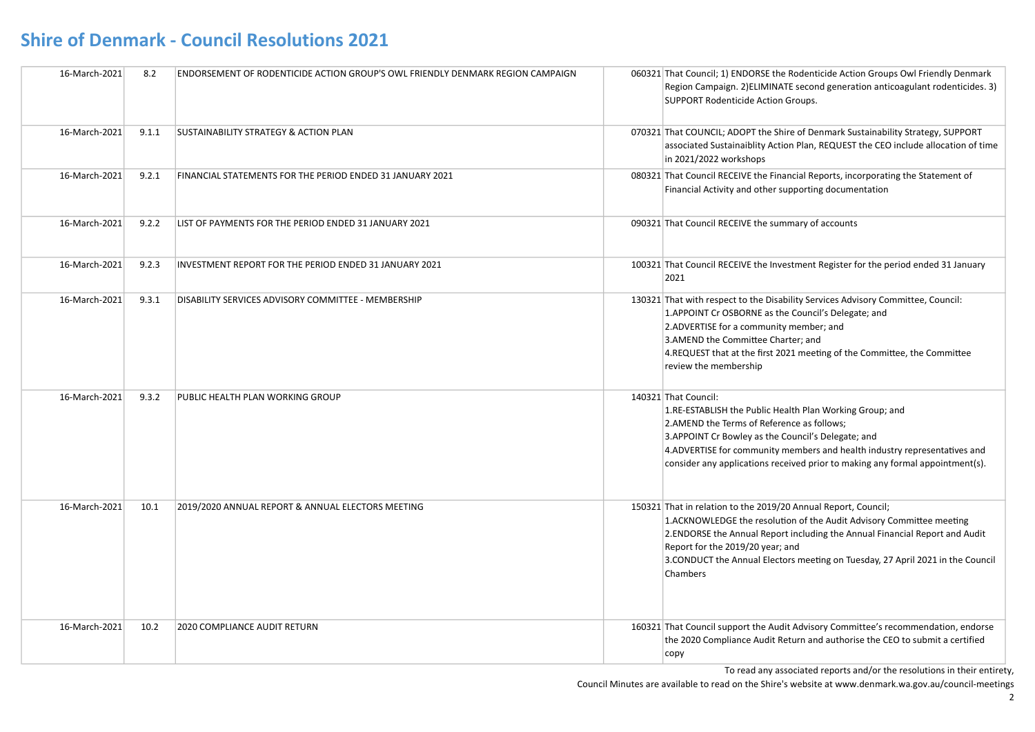| 16-March-2021 | 8.2   | <b>ENDORSEMENT OF RODENTICIDE ACTION GROUP'S OWL FRIENDLY DENMARK REGION CAMPAIGN</b> | 060321 That Council; 1) ENDORSE the Rodenticide Action Groups Owl Friendly Denmark<br>Region Campaign. 2) ELIMINATE second generation anticoagulant rodenticides. 3)<br>SUPPORT Rodenticide Action Groups.                                                                                                                                                |
|---------------|-------|---------------------------------------------------------------------------------------|-----------------------------------------------------------------------------------------------------------------------------------------------------------------------------------------------------------------------------------------------------------------------------------------------------------------------------------------------------------|
| 16-March-2021 | 9.1.1 | <b>SUSTAINABILITY STRATEGY &amp; ACTION PLAN</b>                                      | 070321 That COUNCIL; ADOPT the Shire of Denmark Sustainability Strategy, SUPPORT<br>associated Sustainaiblity Action Plan, REQUEST the CEO include allocation of time<br>in 2021/2022 workshops                                                                                                                                                           |
| 16-March-2021 | 9.2.1 | FINANCIAL STATEMENTS FOR THE PERIOD ENDED 31 JANUARY 2021                             | 080321 That Council RECEIVE the Financial Reports, incorporating the Statement of<br>Financial Activity and other supporting documentation                                                                                                                                                                                                                |
| 16-March-2021 | 9.2.2 | LIST OF PAYMENTS FOR THE PERIOD ENDED 31 JANUARY 2021                                 | 090321 That Council RECEIVE the summary of accounts                                                                                                                                                                                                                                                                                                       |
| 16-March-2021 | 9.2.3 | INVESTMENT REPORT FOR THE PERIOD ENDED 31 JANUARY 2021                                | 100321 That Council RECEIVE the Investment Register for the period ended 31 January<br>2021                                                                                                                                                                                                                                                               |
| 16-March-2021 | 9.3.1 | DISABILITY SERVICES ADVISORY COMMITTEE - MEMBERSHIP                                   | 130321 That with respect to the Disability Services Advisory Committee, Council:<br>1.APPOINT Cr OSBORNE as the Council's Delegate; and<br>2.ADVERTISE for a community member; and<br>3.AMEND the Committee Charter; and<br>4.REQUEST that at the first 2021 meeting of the Committee, the Committee<br>review the membership                             |
| 16-March-2021 | 9.3.2 | PUBLIC HEALTH PLAN WORKING GROUP                                                      | 140321 That Council:<br>1.RE-ESTABLISH the Public Health Plan Working Group; and<br>2.AMEND the Terms of Reference as follows;<br>3.APPOINT Cr Bowley as the Council's Delegate; and<br>4.ADVERTISE for community members and health industry representatives and<br>consider any applications received prior to making any formal appointment(s).        |
| 16-March-2021 | 10.1  | 2019/2020 ANNUAL REPORT & ANNUAL ELECTORS MEETING                                     | 150321 That in relation to the 2019/20 Annual Report, Council;<br>1.ACKNOWLEDGE the resolution of the Audit Advisory Committee meeting<br>2. ENDORSE the Annual Report including the Annual Financial Report and Audit<br>Report for the 2019/20 year; and<br>3. CONDUCT the Annual Electors meeting on Tuesday, 27 April 2021 in the Council<br>Chambers |
| 16-March-2021 | 10.2  | 2020 COMPLIANCE AUDIT RETURN                                                          | 160321 That Council support the Audit Advisory Committee's recommendation, endorse<br>the 2020 Compliance Audit Return and authorise the CEO to submit a certified<br>copy                                                                                                                                                                                |

To read any associated reports and/or the resolutions in their entirety,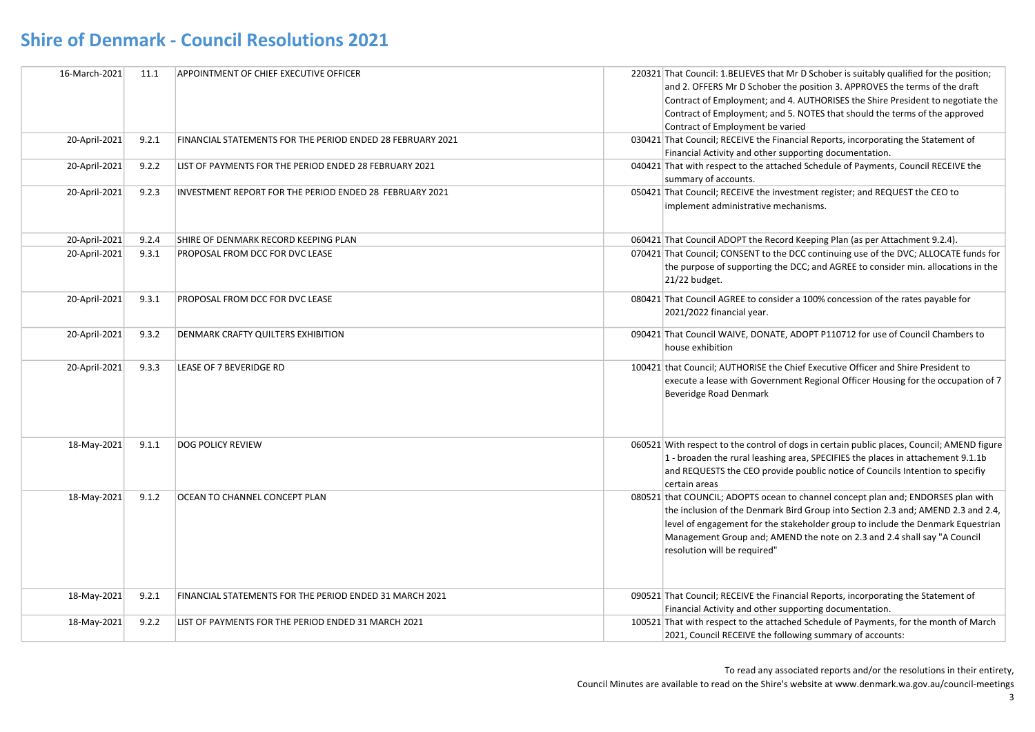| 16-March-2021 | 11.1  | APPOINTMENT OF CHIEF EXECUTIVE OFFICER                     | 220321 That Council: 1.BELIEVES that Mr D Schober is suitably qualified for the position;  |
|---------------|-------|------------------------------------------------------------|--------------------------------------------------------------------------------------------|
|               |       |                                                            | and 2. OFFERS Mr D Schober the position 3. APPROVES the terms of the draft                 |
|               |       |                                                            | Contract of Employment; and 4. AUTHORISES the Shire President to negotiate the             |
|               |       |                                                            | Contract of Employment; and 5. NOTES that should the terms of the approved                 |
|               |       |                                                            | Contract of Employment be varied                                                           |
| 20-April-2021 | 9.2.1 | FINANCIAL STATEMENTS FOR THE PERIOD ENDED 28 FEBRUARY 2021 | 030421 That Council; RECEIVE the Financial Reports, incorporating the Statement of         |
|               |       |                                                            | Financial Activity and other supporting documentation.                                     |
| 20-April-2021 | 9.2.2 | LIST OF PAYMENTS FOR THE PERIOD ENDED 28 FEBRUARY 2021     | 040421 That with respect to the attached Schedule of Payments, Council RECEIVE the         |
|               |       |                                                            | summary of accounts.                                                                       |
| 20-April-2021 | 9.2.3 | INVESTMENT REPORT FOR THE PERIOD ENDED 28 FEBRUARY 2021    | 050421 That Council; RECEIVE the investment register; and REQUEST the CEO to               |
|               |       |                                                            | implement administrative mechanisms.                                                       |
|               |       |                                                            |                                                                                            |
| 20-April-2021 | 9.2.4 | SHIRE OF DENMARK RECORD KEEPING PLAN                       | 060421 That Council ADOPT the Record Keeping Plan (as per Attachment 9.2.4).               |
| 20-April-2021 | 9.3.1 | <b>PROPOSAL FROM DCC FOR DVC LEASE</b>                     | 070421 That Council; CONSENT to the DCC continuing use of the DVC; ALLOCATE funds for      |
|               |       |                                                            | the purpose of supporting the DCC; and AGREE to consider min. allocations in the           |
|               |       |                                                            | 21/22 budget.                                                                              |
| 20-April-2021 | 9.3.1 | PROPOSAL FROM DCC FOR DVC LEASE                            | 080421 That Council AGREE to consider a 100% concession of the rates payable for           |
|               |       |                                                            | 2021/2022 financial year.                                                                  |
|               |       |                                                            |                                                                                            |
| 20-April-2021 | 9.3.2 | <b>DENMARK CRAFTY QUILTERS EXHIBITION</b>                  | 090421 That Council WAIVE, DONATE, ADOPT P110712 for use of Council Chambers to            |
|               |       |                                                            | house exhibition                                                                           |
| 20-April-2021 | 9.3.3 | LEASE OF 7 BEVERIDGE RD                                    | 100421 that Council; AUTHORISE the Chief Executive Officer and Shire President to          |
|               |       |                                                            | execute a lease with Government Regional Officer Housing for the occupation of 7           |
|               |       |                                                            | Beveridge Road Denmark                                                                     |
|               |       |                                                            |                                                                                            |
|               |       |                                                            |                                                                                            |
|               |       |                                                            |                                                                                            |
| 18-May-2021   | 9.1.1 | <b>DOG POLICY REVIEW</b>                                   | 060521 With respect to the control of dogs in certain public places, Council; AMEND figure |
|               |       |                                                            | 1 - broaden the rural leashing area, SPECIFIES the places in attachement 9.1.1b            |
|               |       |                                                            | and REQUESTS the CEO provide poublic notice of Councils Intention to specifiy              |
|               |       |                                                            | certain areas                                                                              |
| 18-May-2021   | 9.1.2 | OCEAN TO CHANNEL CONCEPT PLAN                              | 080521 that COUNCIL; ADOPTS ocean to channel concept plan and; ENDORSES plan with          |
|               |       |                                                            | the inclusion of the Denmark Bird Group into Section 2.3 and; AMEND 2.3 and 2.4,           |
|               |       |                                                            | level of engagement for the stakeholder group to include the Denmark Equestrian            |
|               |       |                                                            | Management Group and; AMEND the note on 2.3 and 2.4 shall say "A Council                   |
|               |       |                                                            | resolution will be required"                                                               |
|               |       |                                                            |                                                                                            |
|               |       |                                                            |                                                                                            |
|               |       |                                                            |                                                                                            |
| 18-May-2021   | 9.2.1 | FINANCIAL STATEMENTS FOR THE PERIOD ENDED 31 MARCH 2021    | 090521 That Council; RECEIVE the Financial Reports, incorporating the Statement of         |
|               |       |                                                            | Financial Activity and other supporting documentation.                                     |
| 18-May-2021   | 9.2.2 | LIST OF PAYMENTS FOR THE PERIOD ENDED 31 MARCH 2021        | 100521 That with respect to the attached Schedule of Payments, for the month of March      |
|               |       |                                                            | 2021, Council RECEIVE the following summary of accounts:                                   |

To read any associated reports and/or the resolutions in their entirety,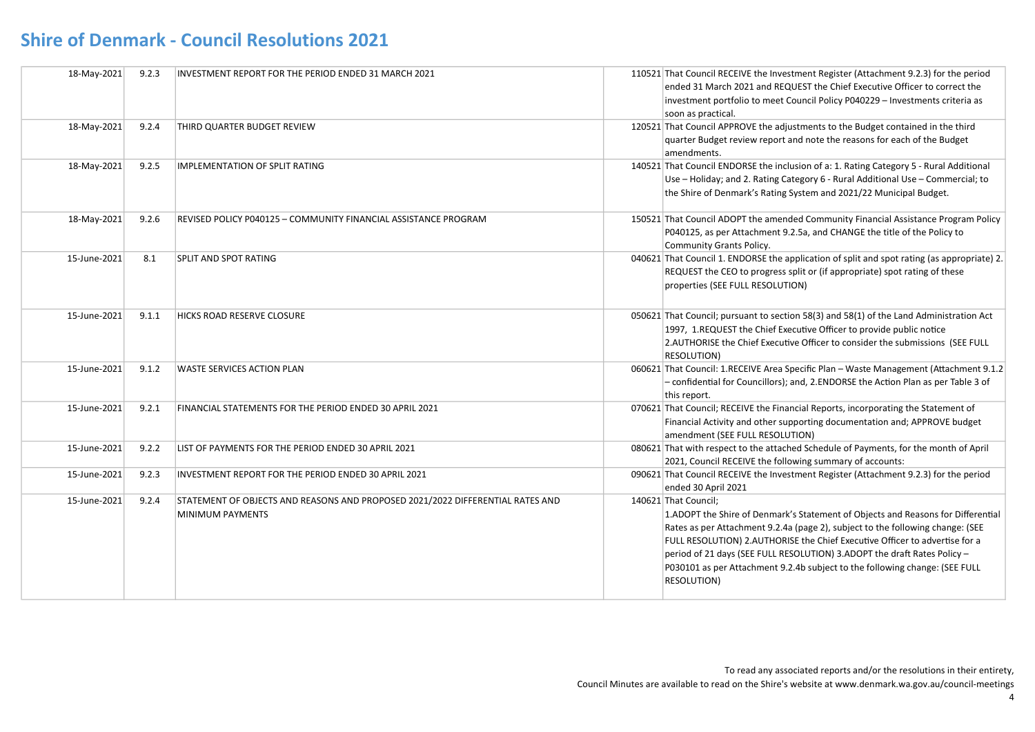| 18-May-2021  | 9.2.3 | INVESTMENT REPORT FOR THE PERIOD ENDED 31 MARCH 2021                                               | 110521 That Council RECEIVE the Investment Register (Attachment 9.2.3) for the period<br>ended 31 March 2021 and REQUEST the Chief Executive Officer to correct the<br>investment portfolio to meet Council Policy P040229 - Investments criteria as<br>soon as practical.                                                                                                                                                                          |
|--------------|-------|----------------------------------------------------------------------------------------------------|-----------------------------------------------------------------------------------------------------------------------------------------------------------------------------------------------------------------------------------------------------------------------------------------------------------------------------------------------------------------------------------------------------------------------------------------------------|
| 18-May-2021  | 9.2.4 | THIRD QUARTER BUDGET REVIEW                                                                        | 120521 That Council APPROVE the adjustments to the Budget contained in the third<br>quarter Budget review report and note the reasons for each of the Budget<br>amendments.                                                                                                                                                                                                                                                                         |
| 18-May-2021  | 9.2.5 | <b>IMPLEMENTATION OF SPLIT RATING</b>                                                              | 140521 That Council ENDORSE the inclusion of a: 1. Rating Category 5 - Rural Additional<br>Use - Holiday; and 2. Rating Category 6 - Rural Additional Use - Commercial; to<br>the Shire of Denmark's Rating System and 2021/22 Municipal Budget.                                                                                                                                                                                                    |
| 18-May-2021  | 9.2.6 | REVISED POLICY P040125 – COMMUNITY FINANCIAL ASSISTANCE PROGRAM                                    | 150521 That Council ADOPT the amended Community Financial Assistance Program Policy<br>P040125, as per Attachment 9.2.5a, and CHANGE the title of the Policy to<br>Community Grants Policy.                                                                                                                                                                                                                                                         |
| 15-June-2021 | 8.1   | <b>SPLIT AND SPOT RATING</b>                                                                       | 040621 That Council 1. ENDORSE the application of split and spot rating (as appropriate) 2.<br>REQUEST the CEO to progress split or (if appropriate) spot rating of these<br>properties (SEE FULL RESOLUTION)                                                                                                                                                                                                                                       |
| 15-June-2021 | 9.1.1 | <b>HICKS ROAD RESERVE CLOSURE</b>                                                                  | 050621 That Council; pursuant to section 58(3) and 58(1) of the Land Administration Act<br>1997, 1.REQUEST the Chief Executive Officer to provide public notice<br>2.AUTHORISE the Chief Executive Officer to consider the submissions (SEE FULL<br><b>RESOLUTION)</b>                                                                                                                                                                              |
| 15-June-2021 | 9.1.2 | <b>WASTE SERVICES ACTION PLAN</b>                                                                  | 060621 That Council: 1.RECEIVE Area Specific Plan - Waste Management (Attachment 9.1.2)<br>- confidential for Councillors); and, 2. ENDORSE the Action Plan as per Table 3 of<br>this report.                                                                                                                                                                                                                                                       |
| 15-June-2021 | 9.2.1 | FINANCIAL STATEMENTS FOR THE PERIOD ENDED 30 APRIL 2021                                            | 070621 That Council; RECEIVE the Financial Reports, incorporating the Statement of<br>Financial Activity and other supporting documentation and; APPROVE budget<br>amendment (SEE FULL RESOLUTION)                                                                                                                                                                                                                                                  |
| 15-June-2021 | 9.2.2 | LIST OF PAYMENTS FOR THE PERIOD ENDED 30 APRIL 2021                                                | 080621 That with respect to the attached Schedule of Payments, for the month of April<br>2021, Council RECEIVE the following summary of accounts:                                                                                                                                                                                                                                                                                                   |
| 15-June-2021 | 9.2.3 | INVESTMENT REPORT FOR THE PERIOD ENDED 30 APRIL 2021                                               | 090621 That Council RECEIVE the Investment Register (Attachment 9.2.3) for the period<br>ended 30 April 2021                                                                                                                                                                                                                                                                                                                                        |
| 15-June-2021 | 9.2.4 | STATEMENT OF OBJECTS AND REASONS AND PROPOSED 2021/2022 DIFFERENTIAL RATES AND<br>MINIMUM PAYMENTS | 140621 That Council;<br>1.ADOPT the Shire of Denmark's Statement of Objects and Reasons for Differential<br>Rates as per Attachment 9.2.4a (page 2), subject to the following change: (SEE<br>FULL RESOLUTION) 2.AUTHORISE the Chief Executive Officer to advertise for a<br>period of 21 days (SEE FULL RESOLUTION) 3.ADOPT the draft Rates Policy -<br>P030101 as per Attachment 9.2.4b subject to the following change: (SEE FULL<br>RESOLUTION) |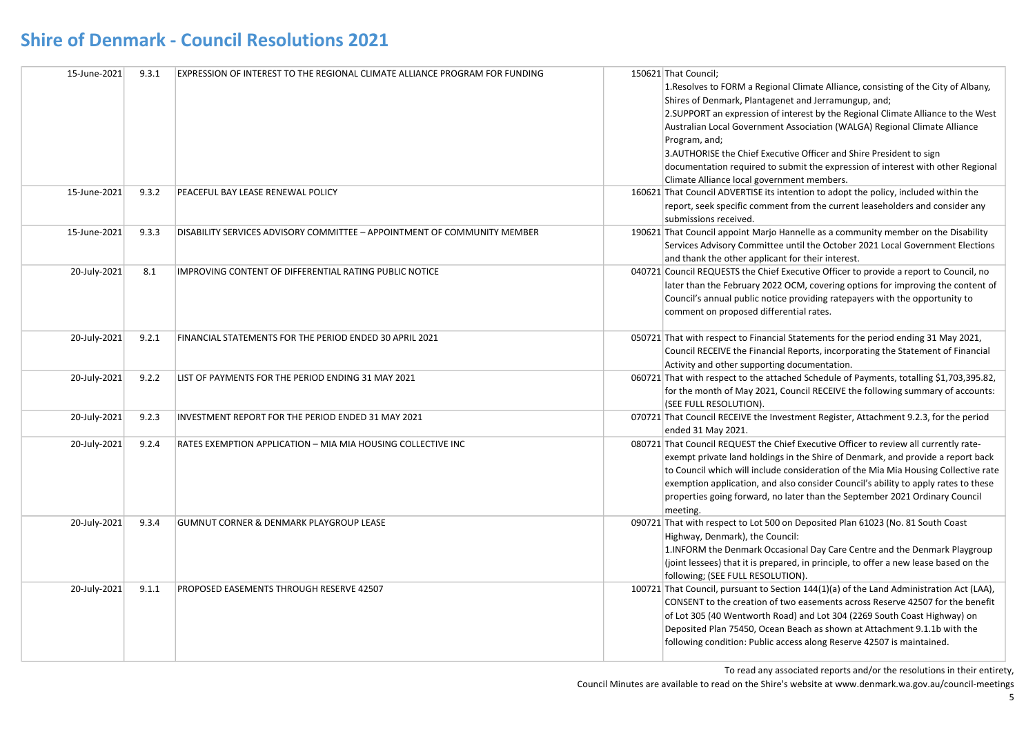| 15-June-2021 | 9.3.1 | <b>EXPRESSION OF INTEREST TO THE REGIONAL CLIMATE ALLIANCE PROGRAM FOR FUNDING</b> | 150621 That Council;<br>1. Resolves to FORM a Regional Climate Alliance, consisting of the City of Albany,<br>Shires of Denmark, Plantagenet and Jerramungup, and;<br>2. SUPPORT an expression of interest by the Regional Climate Alliance to the West<br>Australian Local Government Association (WALGA) Regional Climate Alliance<br>Program, and;<br>3.AUTHORISE the Chief Executive Officer and Shire President to sign<br>documentation required to submit the expression of interest with other Regional<br>Climate Alliance local government members. |
|--------------|-------|------------------------------------------------------------------------------------|---------------------------------------------------------------------------------------------------------------------------------------------------------------------------------------------------------------------------------------------------------------------------------------------------------------------------------------------------------------------------------------------------------------------------------------------------------------------------------------------------------------------------------------------------------------|
| 15-June-2021 | 9.3.2 | PEACEFUL BAY LEASE RENEWAL POLICY                                                  | 160621 That Council ADVERTISE its intention to adopt the policy, included within the<br>report, seek specific comment from the current leaseholders and consider any<br>submissions received.                                                                                                                                                                                                                                                                                                                                                                 |
| 15-June-2021 | 9.3.3 | DISABILITY SERVICES ADVISORY COMMITTEE - APPOINTMENT OF COMMUNITY MEMBER           | 190621 That Council appoint Marjo Hannelle as a community member on the Disability<br>Services Advisory Committee until the October 2021 Local Government Elections<br>and thank the other applicant for their interest.                                                                                                                                                                                                                                                                                                                                      |
| 20-July-2021 | 8.1   | IMPROVING CONTENT OF DIFFERENTIAL RATING PUBLIC NOTICE                             | 040721 Council REQUESTS the Chief Executive Officer to provide a report to Council, no<br>later than the February 2022 OCM, covering options for improving the content of<br>Council's annual public notice providing ratepayers with the opportunity to<br>comment on proposed differential rates.                                                                                                                                                                                                                                                           |
| 20-July-2021 | 9.2.1 | FINANCIAL STATEMENTS FOR THE PERIOD ENDED 30 APRIL 2021                            | 050721 That with respect to Financial Statements for the period ending 31 May 2021,<br>Council RECEIVE the Financial Reports, incorporating the Statement of Financial<br>Activity and other supporting documentation.                                                                                                                                                                                                                                                                                                                                        |
| 20-July-2021 | 9.2.2 | LIST OF PAYMENTS FOR THE PERIOD ENDING 31 MAY 2021                                 | 060721 That with respect to the attached Schedule of Payments, totalling \$1,703,395.82,<br>for the month of May 2021, Council RECEIVE the following summary of accounts:<br>(SEE FULL RESOLUTION).                                                                                                                                                                                                                                                                                                                                                           |
| 20-July-2021 | 9.2.3 | INVESTMENT REPORT FOR THE PERIOD ENDED 31 MAY 2021                                 | 070721 That Council RECEIVE the Investment Register, Attachment 9.2.3, for the period<br>ended 31 May 2021.                                                                                                                                                                                                                                                                                                                                                                                                                                                   |
| 20-July-2021 | 9.2.4 | RATES EXEMPTION APPLICATION - MIA MIA HOUSING COLLECTIVE INC                       | 080721 That Council REQUEST the Chief Executive Officer to review all currently rate-<br>exempt private land holdings in the Shire of Denmark, and provide a report back<br>to Council which will include consideration of the Mia Mia Housing Collective rate<br>exemption application, and also consider Council's ability to apply rates to these<br>properties going forward, no later than the September 2021 Ordinary Council<br>meeting.                                                                                                               |
| 20-July-2021 | 9.3.4 | <b>GUMNUT CORNER &amp; DENMARK PLAYGROUP LEASE</b>                                 | 090721 That with respect to Lot 500 on Deposited Plan 61023 (No. 81 South Coast<br>Highway, Denmark), the Council:<br>1. INFORM the Denmark Occasional Day Care Centre and the Denmark Playgroup<br>(joint lessees) that it is prepared, in principle, to offer a new lease based on the<br>following; (SEE FULL RESOLUTION).                                                                                                                                                                                                                                 |
| 20-July-2021 | 9.1.1 | PROPOSED EASEMENTS THROUGH RESERVE 42507                                           | 100721 That Council, pursuant to Section 144(1)(a) of the Land Administration Act (LAA),<br>CONSENT to the creation of two easements across Reserve 42507 for the benefit<br>of Lot 305 (40 Wentworth Road) and Lot 304 (2269 South Coast Highway) on<br>Deposited Plan 75450, Ocean Beach as shown at Attachment 9.1.1b with the<br>following condition: Public access along Reserve 42507 is maintained.                                                                                                                                                    |

To read any associated reports and/or the resolutions in their entirety,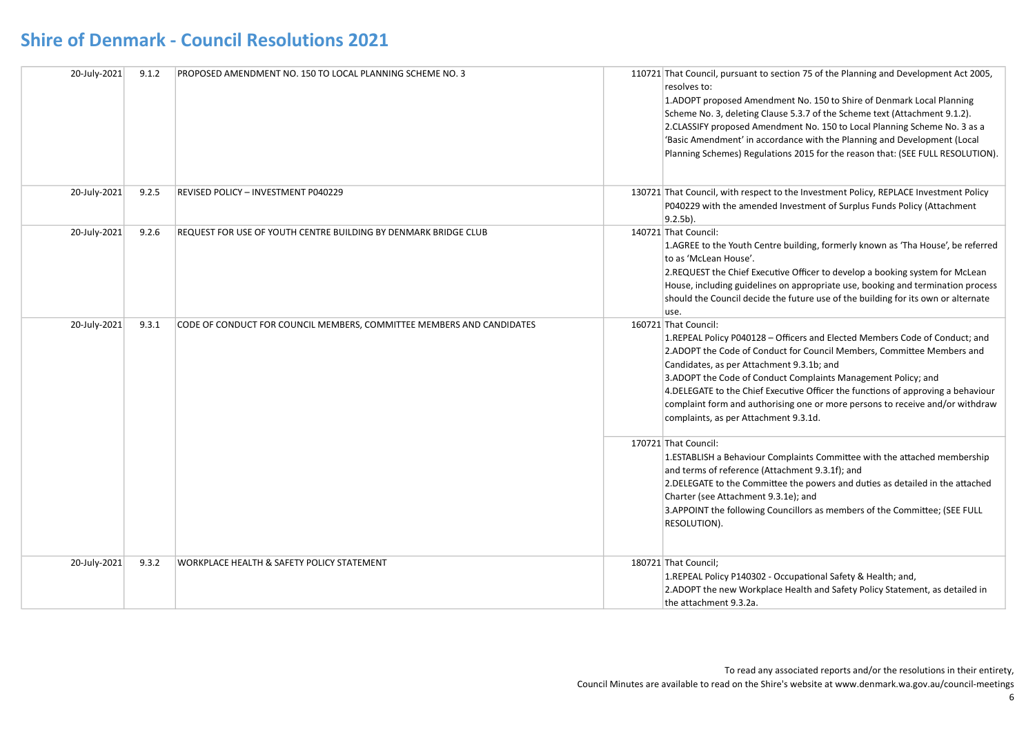| 20-July-2021 | 9.1.2 | PROPOSED AMENDMENT NO. 150 TO LOCAL PLANNING SCHEME NO. 3             | 110721 That Council, pursuant to section 75 of the Planning and Development Act 2005,<br>resolves to:<br>1.ADOPT proposed Amendment No. 150 to Shire of Denmark Local Planning<br>Scheme No. 3, deleting Clause 5.3.7 of the Scheme text (Attachment 9.1.2).<br>2.CLASSIFY proposed Amendment No. 150 to Local Planning Scheme No. 3 as a<br>'Basic Amendment' in accordance with the Planning and Development (Local<br>Planning Schemes) Regulations 2015 for the reason that: (SEE FULL RESOLUTION).    |
|--------------|-------|-----------------------------------------------------------------------|------------------------------------------------------------------------------------------------------------------------------------------------------------------------------------------------------------------------------------------------------------------------------------------------------------------------------------------------------------------------------------------------------------------------------------------------------------------------------------------------------------|
| 20-July-2021 | 9.2.5 | REVISED POLICY - INVESTMENT P040229                                   | 130721 That Council, with respect to the Investment Policy, REPLACE Investment Policy<br>P040229 with the amended Investment of Surplus Funds Policy (Attachment<br>$9.2.5b$ ).                                                                                                                                                                                                                                                                                                                            |
| 20-July-2021 | 9.2.6 | REQUEST FOR USE OF YOUTH CENTRE BUILDING BY DENMARK BRIDGE CLUB       | 140721 That Council:<br>1.AGREE to the Youth Centre building, formerly known as 'Tha House', be referred<br>to as 'McLean House'.<br>2. REQUEST the Chief Executive Officer to develop a booking system for McLean<br>House, including guidelines on appropriate use, booking and termination process<br>should the Council decide the future use of the building for its own or alternate<br>use.                                                                                                         |
| 20-July-2021 | 9.3.1 | CODE OF CONDUCT FOR COUNCIL MEMBERS, COMMITTEE MEMBERS AND CANDIDATES | 160721 That Council:<br>1.REPEAL Policy P040128 - Officers and Elected Members Code of Conduct; and<br>2.ADOPT the Code of Conduct for Council Members, Committee Members and<br>Candidates, as per Attachment 9.3.1b; and<br>3.ADOPT the Code of Conduct Complaints Management Policy; and<br>4. DELEGATE to the Chief Executive Officer the functions of approving a behaviour<br>complaint form and authorising one or more persons to receive and/or withdraw<br>complaints, as per Attachment 9.3.1d. |
|              |       |                                                                       | 170721 That Council:<br>1.ESTABLISH a Behaviour Complaints Committee with the attached membership<br>and terms of reference (Attachment 9.3.1f); and<br>2. DELEGATE to the Committee the powers and duties as detailed in the attached<br>Charter (see Attachment 9.3.1e); and<br>3.APPOINT the following Councillors as members of the Committee; (SEE FULL<br>RESOLUTION).                                                                                                                               |
| 20-July-2021 | 9.3.2 | WORKPLACE HEALTH & SAFETY POLICY STATEMENT                            | 180721 That Council;<br>1.REPEAL Policy P140302 - Occupational Safety & Health; and,<br>2.ADOPT the new Workplace Health and Safety Policy Statement, as detailed in<br>the attachment 9.3.2a.                                                                                                                                                                                                                                                                                                             |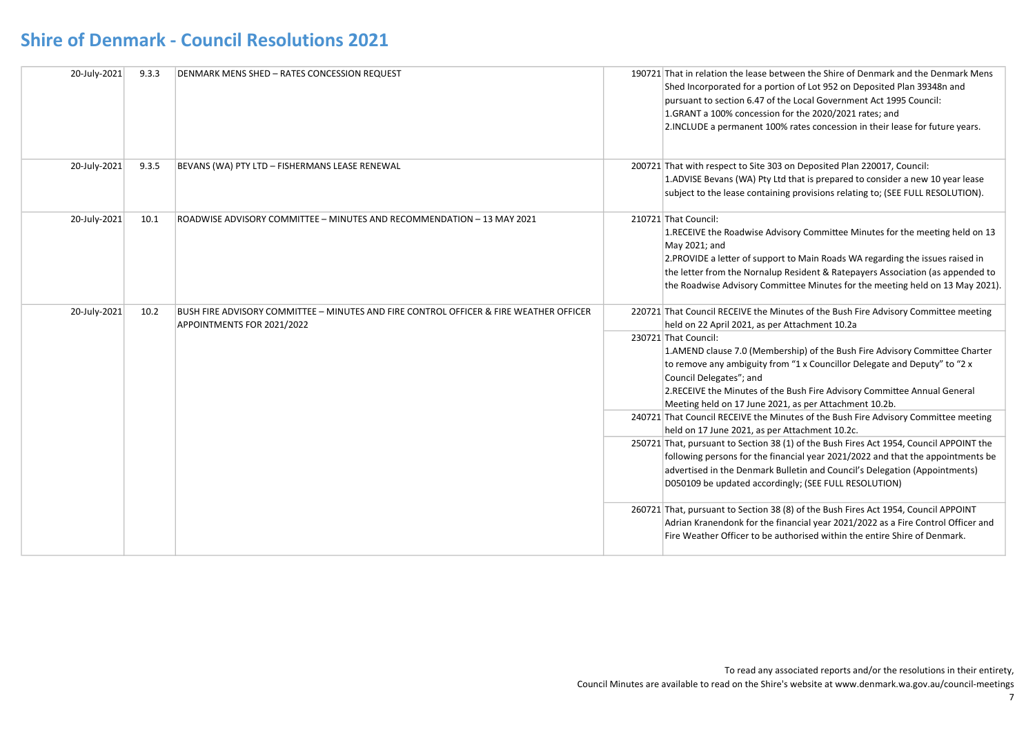| 20-July-2021 | 9.3.3 | <b>DENMARK MENS SHED - RATES CONCESSION REQUEST</b>                                                                  | 190721 That in relation the lease between the Shire of Denmark and the Denmark Mens<br>Shed Incorporated for a portion of Lot 952 on Deposited Plan 39348n and<br>pursuant to section 6.47 of the Local Government Act 1995 Council:<br>1.GRANT a 100% concession for the 2020/2021 rates; and<br>2. INCLUDE a permanent 100% rates concession in their lease for future years.                                                                                                                                                                                                                                                                                                                                                                                                                                                                                                                                                                           |
|--------------|-------|----------------------------------------------------------------------------------------------------------------------|-----------------------------------------------------------------------------------------------------------------------------------------------------------------------------------------------------------------------------------------------------------------------------------------------------------------------------------------------------------------------------------------------------------------------------------------------------------------------------------------------------------------------------------------------------------------------------------------------------------------------------------------------------------------------------------------------------------------------------------------------------------------------------------------------------------------------------------------------------------------------------------------------------------------------------------------------------------|
| 20-July-2021 | 9.3.5 | BEVANS (WA) PTY LTD - FISHERMANS LEASE RENEWAL                                                                       | 200721 That with respect to Site 303 on Deposited Plan 220017, Council:<br>1.ADVISE Bevans (WA) Pty Ltd that is prepared to consider a new 10 year lease<br>subject to the lease containing provisions relating to; (SEE FULL RESOLUTION).                                                                                                                                                                                                                                                                                                                                                                                                                                                                                                                                                                                                                                                                                                                |
| 20-July-2021 | 10.1  | ROADWISE ADVISORY COMMITTEE - MINUTES AND RECOMMENDATION - 13 MAY 2021                                               | 210721 That Council:<br>1.RECEIVE the Roadwise Advisory Committee Minutes for the meeting held on 13<br>May 2021; and<br>2. PROVIDE a letter of support to Main Roads WA regarding the issues raised in<br>the letter from the Nornalup Resident & Ratepayers Association (as appended to<br>the Roadwise Advisory Committee Minutes for the meeting held on 13 May 2021).                                                                                                                                                                                                                                                                                                                                                                                                                                                                                                                                                                                |
| 20-July-2021 | 10.2  | BUSH FIRE ADVISORY COMMITTEE - MINUTES AND FIRE CONTROL OFFICER & FIRE WEATHER OFFICER<br>APPOINTMENTS FOR 2021/2022 | 220721 That Council RECEIVE the Minutes of the Bush Fire Advisory Committee meeting<br>held on 22 April 2021, as per Attachment 10.2a<br>230721 That Council:<br>1.AMEND clause 7.0 (Membership) of the Bush Fire Advisory Committee Charter<br>to remove any ambiguity from "1 x Councillor Delegate and Deputy" to "2 x<br>Council Delegates"; and<br>2. RECEIVE the Minutes of the Bush Fire Advisory Committee Annual General<br>Meeting held on 17 June 2021, as per Attachment 10.2b.<br>240721 That Council RECEIVE the Minutes of the Bush Fire Advisory Committee meeting<br>held on 17 June 2021, as per Attachment 10.2c.<br>250721 That, pursuant to Section 38 (1) of the Bush Fires Act 1954, Council APPOINT the<br>following persons for the financial year 2021/2022 and that the appointments be<br>advertised in the Denmark Bulletin and Council's Delegation (Appointments)<br>D050109 be updated accordingly; (SEE FULL RESOLUTION) |
|              |       |                                                                                                                      | 260721 That, pursuant to Section 38 (8) of the Bush Fires Act 1954, Council APPOINT<br>Adrian Kranendonk for the financial year 2021/2022 as a Fire Control Officer and<br>Fire Weather Officer to be authorised within the entire Shire of Denmark.                                                                                                                                                                                                                                                                                                                                                                                                                                                                                                                                                                                                                                                                                                      |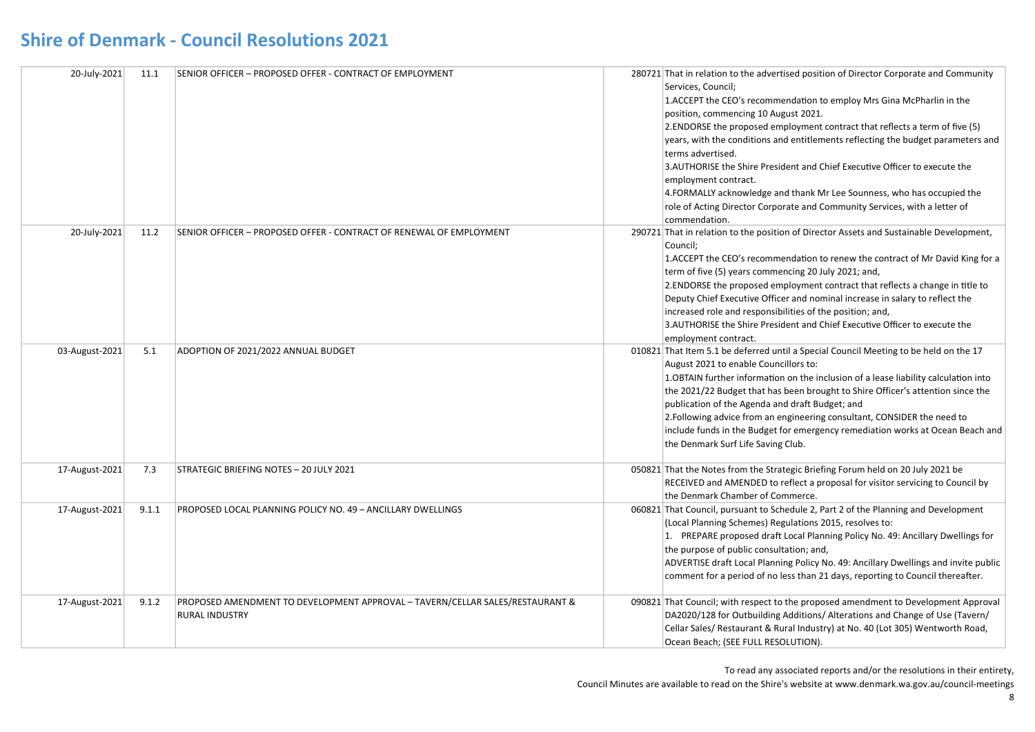| 20-July-2021   | 11.1  | SENIOR OFFICER - PROPOSED OFFER - CONTRACT OF EMPLOYMENT                                               | 280721 That in relation to the advertised position of Director Corporate and Community<br>Services, Council;<br>1. ACCEPT the CEO's recommendation to employ Mrs Gina McPharlin in the<br>position, commencing 10 August 2021.<br>2. ENDORSE the proposed employment contract that reflects a term of five (5)<br>years, with the conditions and entitlements reflecting the budget parameters and<br>terms advertised.<br>3.AUTHORISE the Shire President and Chief Executive Officer to execute the<br>employment contract.<br>4.FORMALLY acknowledge and thank Mr Lee Sounness, who has occupied the<br>role of Acting Director Corporate and Community Services, with a letter of<br>commendation. |
|----------------|-------|--------------------------------------------------------------------------------------------------------|--------------------------------------------------------------------------------------------------------------------------------------------------------------------------------------------------------------------------------------------------------------------------------------------------------------------------------------------------------------------------------------------------------------------------------------------------------------------------------------------------------------------------------------------------------------------------------------------------------------------------------------------------------------------------------------------------------|
| 20-July-2021   | 11.2  | SENIOR OFFICER - PROPOSED OFFER - CONTRACT OF RENEWAL OF EMPLOYMENT                                    | 290721 That in relation to the position of Director Assets and Sustainable Development,<br>Council;<br>1. ACCEPT the CEO's recommendation to renew the contract of Mr David King for a<br>term of five (5) years commencing 20 July 2021; and,<br>2. ENDORSE the proposed employment contract that reflects a change in title to<br>Deputy Chief Executive Officer and nominal increase in salary to reflect the<br>increased role and responsibilities of the position; and,<br>3.AUTHORISE the Shire President and Chief Executive Officer to execute the<br>employment contract.                                                                                                                    |
| 03-August-2021 | 5.1   | ADOPTION OF 2021/2022 ANNUAL BUDGET                                                                    | 010821 That Item 5.1 be deferred until a Special Council Meeting to be held on the 17<br>August 2021 to enable Councillors to:<br>1. OBTAIN further information on the inclusion of a lease liability calculation into<br>the 2021/22 Budget that has been brought to Shire Officer's attention since the<br>publication of the Agenda and draft Budget; and<br>2. Following advice from an engineering consultant, CONSIDER the need to<br>include funds in the Budget for emergency remediation works at Ocean Beach and<br>the Denmark Surf Life Saving Club.                                                                                                                                       |
| 17-August-2021 | 7.3   | STRATEGIC BRIEFING NOTES - 20 JULY 2021                                                                | 050821 That the Notes from the Strategic Briefing Forum held on 20 July 2021 be<br>RECEIVED and AMENDED to reflect a proposal for visitor servicing to Council by<br>the Denmark Chamber of Commerce.                                                                                                                                                                                                                                                                                                                                                                                                                                                                                                  |
| 17-August-2021 | 9.1.1 | PROPOSED LOCAL PLANNING POLICY NO. 49 - ANCILLARY DWELLINGS                                            | 060821 That Council, pursuant to Schedule 2, Part 2 of the Planning and Development<br>(Local Planning Schemes) Regulations 2015, resolves to:<br>1. PREPARE proposed draft Local Planning Policy No. 49: Ancillary Dwellings for<br>the purpose of public consultation; and,<br>ADVERTISE draft Local Planning Policy No. 49: Ancillary Dwellings and invite public<br>comment for a period of no less than 21 days, reporting to Council thereafter.                                                                                                                                                                                                                                                 |
| 17-August-2021 | 9.1.2 | PROPOSED AMENDMENT TO DEVELOPMENT APPROVAL - TAVERN/CELLAR SALES/RESTAURANT &<br><b>RURAL INDUSTRY</b> | 090821 That Council; with respect to the proposed amendment to Development Approval<br>DA2020/128 for Outbuilding Additions/ Alterations and Change of Use (Tavern/<br>Cellar Sales/ Restaurant & Rural Industry) at No. 40 (Lot 305) Wentworth Road,<br>Ocean Beach; (SEE FULL RESOLUTION).                                                                                                                                                                                                                                                                                                                                                                                                           |

To read any associated reports and/or the resolutions in their entirety,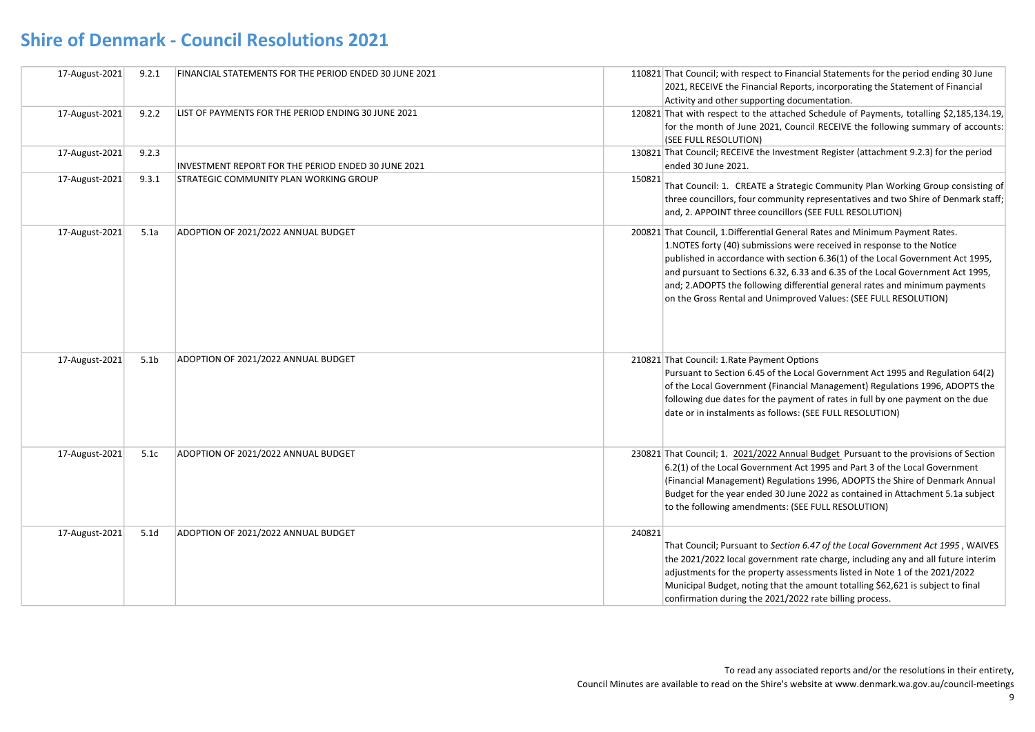| 17-August-2021 | 9.2.1            | FINANCIAL STATEMENTS FOR THE PERIOD ENDED 30 JUNE 2021 |        | 110821 That Council; with respect to Financial Statements for the period ending 30 June<br>2021, RECEIVE the Financial Reports, incorporating the Statement of Financial<br>Activity and other supporting documentation.                                                                                                                                                                                                                                                        |
|----------------|------------------|--------------------------------------------------------|--------|---------------------------------------------------------------------------------------------------------------------------------------------------------------------------------------------------------------------------------------------------------------------------------------------------------------------------------------------------------------------------------------------------------------------------------------------------------------------------------|
| 17-August-2021 | 9.2.2            | LIST OF PAYMENTS FOR THE PERIOD ENDING 30 JUNE 2021    |        | 120821 That with respect to the attached Schedule of Payments, totalling \$2,185,134.19,<br>for the month of June 2021, Council RECEIVE the following summary of accounts:<br>(SEE FULL RESOLUTION)                                                                                                                                                                                                                                                                             |
| 17-August-2021 | 9.2.3            | INVESTMENT REPORT FOR THE PERIOD ENDED 30 JUNE 2021    |        | 130821 That Council; RECEIVE the Investment Register (attachment 9.2.3) for the period<br>ended 30 June 2021.                                                                                                                                                                                                                                                                                                                                                                   |
| 17-August-2021 | 9.3.1            | STRATEGIC COMMUNITY PLAN WORKING GROUP                 | 150821 | That Council: 1. CREATE a Strategic Community Plan Working Group consisting of<br>three councillors, four community representatives and two Shire of Denmark staff;<br>and, 2. APPOINT three councillors (SEE FULL RESOLUTION)                                                                                                                                                                                                                                                  |
| 17-August-2021 | 5.1a             | ADOPTION OF 2021/2022 ANNUAL BUDGET                    |        | 200821 That Council, 1. Differential General Rates and Minimum Payment Rates.<br>1. NOTES forty (40) submissions were received in response to the Notice<br>published in accordance with section 6.36(1) of the Local Government Act 1995,<br>and pursuant to Sections 6.32, 6.33 and 6.35 of the Local Government Act 1995,<br>and; 2.ADOPTS the following differential general rates and minimum payments<br>on the Gross Rental and Unimproved Values: (SEE FULL RESOLUTION) |
| 17-August-2021 | 5.1 <sub>b</sub> | ADOPTION OF 2021/2022 ANNUAL BUDGET                    |        | 210821 That Council: 1.Rate Payment Options<br>Pursuant to Section 6.45 of the Local Government Act 1995 and Regulation 64(2)<br>of the Local Government (Financial Management) Regulations 1996, ADOPTS the<br>following due dates for the payment of rates in full by one payment on the due<br>date or in instalments as follows: (SEE FULL RESOLUTION)                                                                                                                      |
| 17-August-2021 | 5.1c             | ADOPTION OF 2021/2022 ANNUAL BUDGET                    |        | 230821 That Council; 1. 2021/2022 Annual Budget Pursuant to the provisions of Section<br>6.2(1) of the Local Government Act 1995 and Part 3 of the Local Government<br>(Financial Management) Regulations 1996, ADOPTS the Shire of Denmark Annual<br>Budget for the year ended 30 June 2022 as contained in Attachment 5.1a subject<br>to the following amendments: (SEE FULL RESOLUTION)                                                                                      |
| 17-August-2021 | 5.1 <sub>d</sub> | ADOPTION OF 2021/2022 ANNUAL BUDGET                    | 240821 | That Council; Pursuant to Section 6.47 of the Local Government Act 1995, WAIVES<br>the 2021/2022 local government rate charge, including any and all future interim<br>adjustments for the property assessments listed in Note 1 of the 2021/2022<br>Municipal Budget, noting that the amount totalling \$62,621 is subject to final<br>confirmation during the 2021/2022 rate billing process.                                                                                 |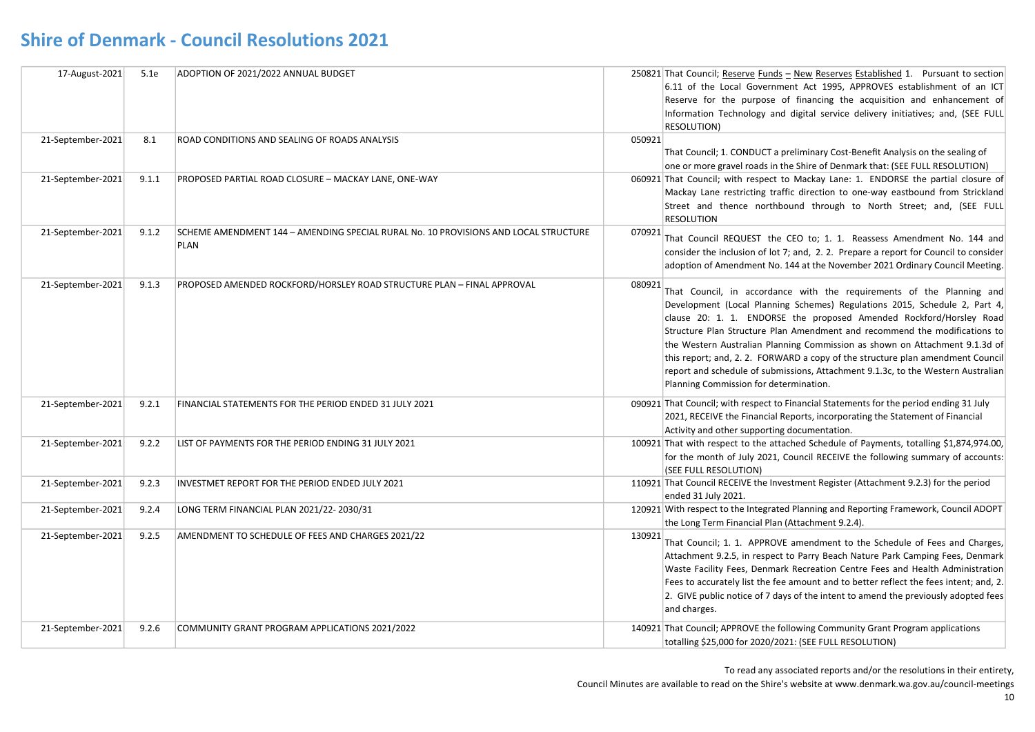| 17-August-2021    | 5.1e  | ADOPTION OF 2021/2022 ANNUAL BUDGET                                                                |        | 250821 That Council; Reserve Funds - New Reserves Established 1. Pursuant to section<br>6.11 of the Local Government Act 1995. APPROVES establishment of an ICT<br>Reserve for the purpose of financing the acquisition and enhancement of<br>Information Technology and digital service delivery initiatives; and, (SEE FULL<br>RESOLUTION)                                                                                                                                                                                                                                                            |
|-------------------|-------|----------------------------------------------------------------------------------------------------|--------|---------------------------------------------------------------------------------------------------------------------------------------------------------------------------------------------------------------------------------------------------------------------------------------------------------------------------------------------------------------------------------------------------------------------------------------------------------------------------------------------------------------------------------------------------------------------------------------------------------|
| 21-September-2021 | 8.1   | ROAD CONDITIONS AND SEALING OF ROADS ANALYSIS                                                      | 050921 | That Council; 1. CONDUCT a preliminary Cost-Benefit Analysis on the sealing of<br>one or more gravel roads in the Shire of Denmark that: (SEE FULL RESOLUTION)                                                                                                                                                                                                                                                                                                                                                                                                                                          |
| 21-September-2021 | 9.1.1 | PROPOSED PARTIAL ROAD CLOSURE - MACKAY LANE, ONE-WAY                                               |        | 060921 That Council; with respect to Mackay Lane: 1. ENDORSE the partial closure of<br>Mackay Lane restricting traffic direction to one-way eastbound from Strickland<br>Street and thence northbound through to North Street; and, (SEE FULL<br><b>RESOLUTION</b>                                                                                                                                                                                                                                                                                                                                      |
| 21-September-2021 | 9.1.2 | SCHEME AMENDMENT 144 - AMENDING SPECIAL RURAL No. 10 PROVISIONS AND LOCAL STRUCTURE<br><b>PLAN</b> | 070921 | That Council REQUEST the CEO to; 1. 1. Reassess Amendment No. 144 and<br>consider the inclusion of lot 7; and, 2. 2. Prepare a report for Council to consider<br>adoption of Amendment No. 144 at the November 2021 Ordinary Council Meeting.                                                                                                                                                                                                                                                                                                                                                           |
| 21-September-2021 | 9.1.3 | PROPOSED AMENDED ROCKFORD/HORSLEY ROAD STRUCTURE PLAN - FINAL APPROVAL                             | 080921 | That Council, in accordance with the requirements of the Planning and<br>Development (Local Planning Schemes) Regulations 2015, Schedule 2, Part 4,<br>clause 20: 1. 1. ENDORSE the proposed Amended Rockford/Horsley Road<br>Structure Plan Structure Plan Amendment and recommend the modifications to<br>the Western Australian Planning Commission as shown on Attachment 9.1.3d of<br>this report; and, 2. 2. FORWARD a copy of the structure plan amendment Council<br>report and schedule of submissions, Attachment 9.1.3c, to the Western Australian<br>Planning Commission for determination. |
| 21-September-2021 | 9.2.1 | FINANCIAL STATEMENTS FOR THE PERIOD ENDED 31 JULY 2021                                             |        | 090921 That Council; with respect to Financial Statements for the period ending 31 July<br>2021, RECEIVE the Financial Reports, incorporating the Statement of Financial<br>Activity and other supporting documentation.                                                                                                                                                                                                                                                                                                                                                                                |
| 21-September-2021 | 9.2.2 | LIST OF PAYMENTS FOR THE PERIOD ENDING 31 JULY 2021                                                |        | 100921 That with respect to the attached Schedule of Payments, totalling \$1,874,974.00,<br>for the month of July 2021, Council RECEIVE the following summary of accounts:<br>(SEE FULL RESOLUTION)                                                                                                                                                                                                                                                                                                                                                                                                     |
| 21-September-2021 | 9.2.3 | INVESTMET REPORT FOR THE PERIOD ENDED JULY 2021                                                    |        | 110921 That Council RECEIVE the Investment Register (Attachment 9.2.3) for the period<br>ended 31 July 2021.                                                                                                                                                                                                                                                                                                                                                                                                                                                                                            |
| 21-September-2021 | 9.2.4 | LONG TERM FINANCIAL PLAN 2021/22-2030/31                                                           |        | 120921 With respect to the Integrated Planning and Reporting Framework, Council ADOPT<br>the Long Term Financial Plan (Attachment 9.2.4).                                                                                                                                                                                                                                                                                                                                                                                                                                                               |
| 21-September-2021 | 9.2.5 | AMENDMENT TO SCHEDULE OF FEES AND CHARGES 2021/22                                                  | 130921 | That Council; 1. 1. APPROVE amendment to the Schedule of Fees and Charges,<br>Attachment 9.2.5, in respect to Parry Beach Nature Park Camping Fees, Denmark<br>Waste Facility Fees, Denmark Recreation Centre Fees and Health Administration<br>Fees to accurately list the fee amount and to better reflect the fees intent; and, 2.<br>2. GIVE public notice of 7 days of the intent to amend the previously adopted fees<br>and charges.                                                                                                                                                             |
| 21-September-2021 | 9.2.6 | COMMUNITY GRANT PROGRAM APPLICATIONS 2021/2022                                                     |        | 140921 That Council; APPROVE the following Community Grant Program applications<br>totalling \$25,000 for 2020/2021: (SEE FULL RESOLUTION)                                                                                                                                                                                                                                                                                                                                                                                                                                                              |

To read any associated reports and/or the resolutions in their entirety,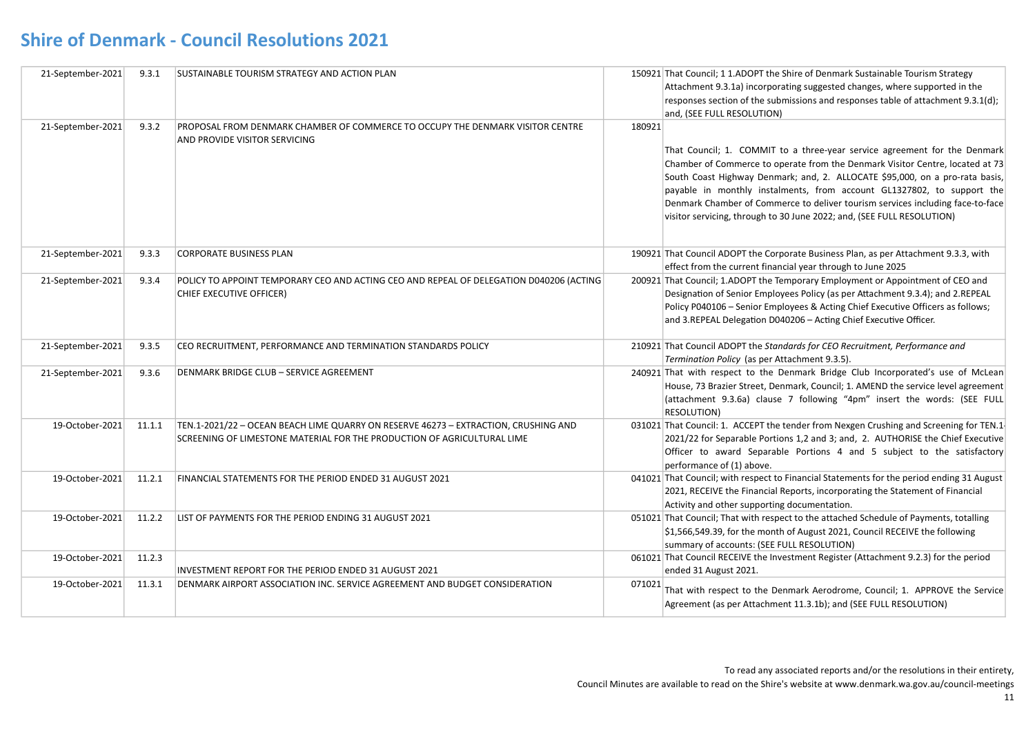| 21-September-2021 | 9.3.1  | <b>SUSTAINABLE TOURISM STRATEGY AND ACTION PLAN</b>                                                                                                            |        | 150921 That Council; 1 1.ADOPT the Shire of Denmark Sustainable Tourism Strategy<br>Attachment 9.3.1a) incorporating suggested changes, where supported in the<br>responses section of the submissions and responses table of attachment 9.3.1(d);<br>and, (SEE FULL RESOLUTION)                                                                                                                                                                                                 |
|-------------------|--------|----------------------------------------------------------------------------------------------------------------------------------------------------------------|--------|----------------------------------------------------------------------------------------------------------------------------------------------------------------------------------------------------------------------------------------------------------------------------------------------------------------------------------------------------------------------------------------------------------------------------------------------------------------------------------|
| 21-September-2021 | 9.3.2  | PROPOSAL FROM DENMARK CHAMBER OF COMMERCE TO OCCUPY THE DENMARK VISITOR CENTRE<br>AND PROVIDE VISITOR SERVICING                                                | 180921 | That Council; 1. COMMIT to a three-year service agreement for the Denmark<br>Chamber of Commerce to operate from the Denmark Visitor Centre, located at 73<br>South Coast Highway Denmark; and, 2. ALLOCATE \$95,000, on a pro-rata basis,<br>payable in monthly instalments, from account GL1327802, to support the<br>Denmark Chamber of Commerce to deliver tourism services including face-to-face<br>visitor servicing, through to 30 June 2022; and, (SEE FULL RESOLUTION) |
| 21-September-2021 | 9.3.3  | <b>CORPORATE BUSINESS PLAN</b>                                                                                                                                 |        | 190921 That Council ADOPT the Corporate Business Plan, as per Attachment 9.3.3, with<br>effect from the current financial year through to June 2025                                                                                                                                                                                                                                                                                                                              |
| 21-September-2021 | 9.3.4  | POLICY TO APPOINT TEMPORARY CEO AND ACTING CEO AND REPEAL OF DELEGATION D040206 (ACTING<br>CHIEF EXECUTIVE OFFICER)                                            |        | 200921 That Council; 1.ADOPT the Temporary Employment or Appointment of CEO and<br>Designation of Senior Employees Policy (as per Attachment 9.3.4); and 2.REPEAL<br>Policy P040106 - Senior Employees & Acting Chief Executive Officers as follows;<br>and 3.REPEAL Delegation D040206 - Acting Chief Executive Officer.                                                                                                                                                        |
| 21-September-2021 | 9.3.5  | CEO RECRUITMENT, PERFORMANCE AND TERMINATION STANDARDS POLICY                                                                                                  |        | 210921 That Council ADOPT the Standards for CEO Recruitment, Performance and<br>Termination Policy (as per Attachment 9.3.5).                                                                                                                                                                                                                                                                                                                                                    |
| 21-September-2021 | 9.3.6  | DENMARK BRIDGE CLUB - SERVICE AGREEMENT                                                                                                                        |        | 240921 That with respect to the Denmark Bridge Club Incorporated's use of McLean<br>House, 73 Brazier Street, Denmark, Council; 1. AMEND the service level agreement<br>(attachment 9.3.6a) clause 7 following "4pm" insert the words: (SEE FULL<br>RESOLUTION)                                                                                                                                                                                                                  |
| 19-October-2021   | 11.1.1 | TEN.1-2021/22 - OCEAN BEACH LIME QUARRY ON RESERVE 46273 - EXTRACTION, CRUSHING AND<br>SCREENING OF LIMESTONE MATERIAL FOR THE PRODUCTION OF AGRICULTURAL LIME |        | 031021 That Council: 1. ACCEPT the tender from Nexgen Crushing and Screening for TEN.1<br>2021/22 for Separable Portions 1,2 and 3; and, 2. AUTHORISE the Chief Executive<br>Officer to award Separable Portions 4 and 5 subject to the satisfactory<br>performance of (1) above.                                                                                                                                                                                                |
| 19-October-2021   | 11.2.1 | FINANCIAL STATEMENTS FOR THE PERIOD ENDED 31 AUGUST 2021                                                                                                       |        | 041021 That Council; with respect to Financial Statements for the period ending 31 August<br>2021, RECEIVE the Financial Reports, incorporating the Statement of Financial<br>Activity and other supporting documentation.                                                                                                                                                                                                                                                       |
| 19-October-2021   | 11.2.2 | LIST OF PAYMENTS FOR THE PERIOD ENDING 31 AUGUST 2021                                                                                                          |        | 051021 That Council; That with respect to the attached Schedule of Payments, totalling<br>\$1,566,549.39, for the month of August 2021, Council RECEIVE the following<br>summary of accounts: (SEE FULL RESOLUTION)                                                                                                                                                                                                                                                              |
| 19-October-2021   | 11.2.3 | INVESTMENT REPORT FOR THE PERIOD ENDED 31 AUGUST 2021                                                                                                          |        | 061021 That Council RECEIVE the Investment Register (Attachment 9.2.3) for the period<br>ended 31 August 2021.                                                                                                                                                                                                                                                                                                                                                                   |
| 19-October-2021   | 11.3.1 | DENMARK AIRPORT ASSOCIATION INC. SERVICE AGREEMENT AND BUDGET CONSIDERATION                                                                                    | 071021 | That with respect to the Denmark Aerodrome, Council; 1. APPROVE the Service<br>Agreement (as per Attachment 11.3.1b); and (SEE FULL RESOLUTION)                                                                                                                                                                                                                                                                                                                                  |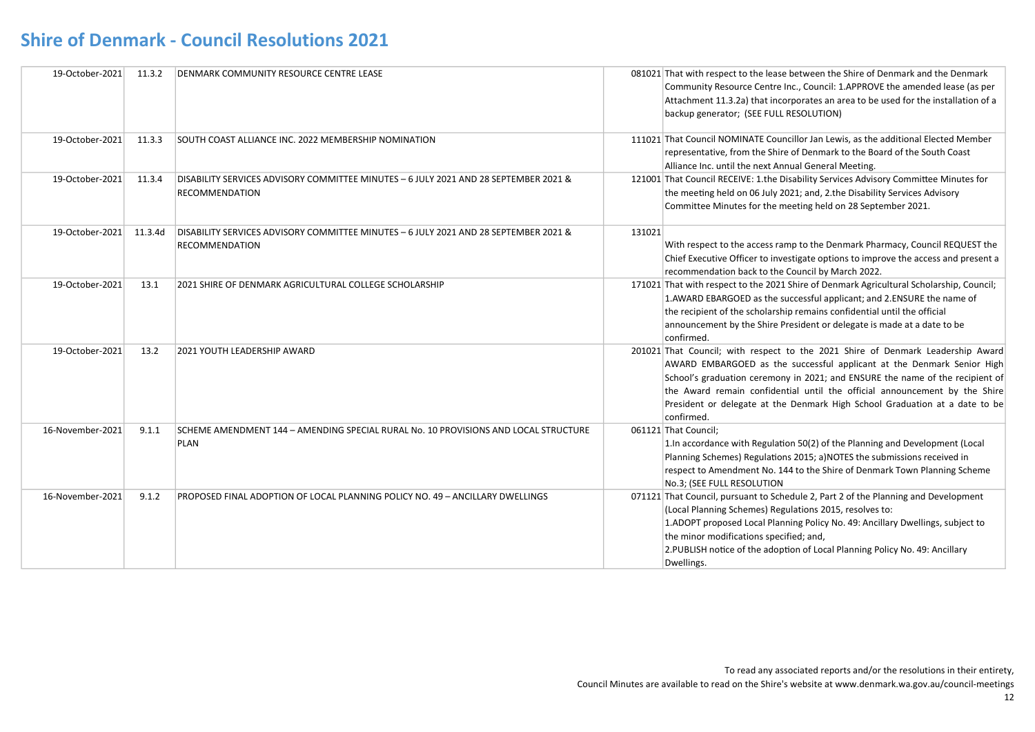| 19-October-2021  | 11.3.2  | DENMARK COMMUNITY RESOURCE CENTRE LEASE                                                                       |        | 081021 That with respect to the lease between the Shire of Denmark and the Denmark<br>Community Resource Centre Inc., Council: 1.APPROVE the amended lease (as per<br>Attachment 11.3.2a) that incorporates an area to be used for the installation of a<br>backup generator; (SEE FULL RESOLUTION)                                                                                                                   |
|------------------|---------|---------------------------------------------------------------------------------------------------------------|--------|-----------------------------------------------------------------------------------------------------------------------------------------------------------------------------------------------------------------------------------------------------------------------------------------------------------------------------------------------------------------------------------------------------------------------|
| 19-October-2021  | 11.3.3  | SOUTH COAST ALLIANCE INC. 2022 MEMBERSHIP NOMINATION                                                          |        | 111021 That Council NOMINATE Councillor Jan Lewis, as the additional Elected Member<br>representative, from the Shire of Denmark to the Board of the South Coast<br>Alliance Inc. until the next Annual General Meeting.                                                                                                                                                                                              |
| 19-October-2021  | 11.3.4  | DISABILITY SERVICES ADVISORY COMMITTEE MINUTES - 6 JULY 2021 AND 28 SEPTEMBER 2021 &<br><b>RECOMMENDATION</b> |        | 121001 That Council RECEIVE: 1.the Disability Services Advisory Committee Minutes for<br>the meeting held on 06 July 2021; and, 2.the Disability Services Advisory<br>Committee Minutes for the meeting held on 28 September 2021.                                                                                                                                                                                    |
| 19-October-2021  | 11.3.4d | DISABILITY SERVICES ADVISORY COMMITTEE MINUTES - 6 JULY 2021 AND 28 SEPTEMBER 2021 &<br><b>RECOMMENDATION</b> | 131021 | With respect to the access ramp to the Denmark Pharmacy, Council REQUEST the<br>Chief Executive Officer to investigate options to improve the access and present a<br>recommendation back to the Council by March 2022.                                                                                                                                                                                               |
| 19-October-2021  | 13.1    | 2021 SHIRE OF DENMARK AGRICULTURAL COLLEGE SCHOLARSHIP                                                        |        | 171021 That with respect to the 2021 Shire of Denmark Agricultural Scholarship, Council;<br>1.AWARD EBARGOED as the successful applicant; and 2.ENSURE the name of<br>the recipient of the scholarship remains confidential until the official<br>announcement by the Shire President or delegate is made at a date to be<br>confirmed.                                                                               |
| 19-October-2021  | 13.2    | 2021 YOUTH LEADERSHIP AWARD                                                                                   |        | 201021 That Council; with respect to the 2021 Shire of Denmark Leadership Award<br>AWARD EMBARGOED as the successful applicant at the Denmark Senior High<br>School's graduation ceremony in 2021; and ENSURE the name of the recipient of<br>the Award remain confidential until the official announcement by the Shire<br>President or delegate at the Denmark High School Graduation at a date to be<br>confirmed. |
| 16-November-2021 | 9.1.1   | SCHEME AMENDMENT 144 - AMENDING SPECIAL RURAL No. 10 PROVISIONS AND LOCAL STRUCTURE<br><b>PLAN</b>            |        | 061121 That Council;<br>1. In accordance with Regulation 50(2) of the Planning and Development (Local<br>Planning Schemes) Regulations 2015; a) NOTES the submissions received in<br>respect to Amendment No. 144 to the Shire of Denmark Town Planning Scheme<br>No.3; (SEE FULL RESOLUTION                                                                                                                          |
| 16-November-2021 | 9.1.2   | PROPOSED FINAL ADOPTION OF LOCAL PLANNING POLICY NO. 49 - ANCILLARY DWELLINGS                                 |        | 071121 That Council, pursuant to Schedule 2, Part 2 of the Planning and Development<br>(Local Planning Schemes) Regulations 2015, resolves to:<br>1.ADOPT proposed Local Planning Policy No. 49: Ancillary Dwellings, subject to<br>the minor modifications specified; and,<br>2. PUBLISH notice of the adoption of Local Planning Policy No. 49: Ancillary<br>Dwellings.                                             |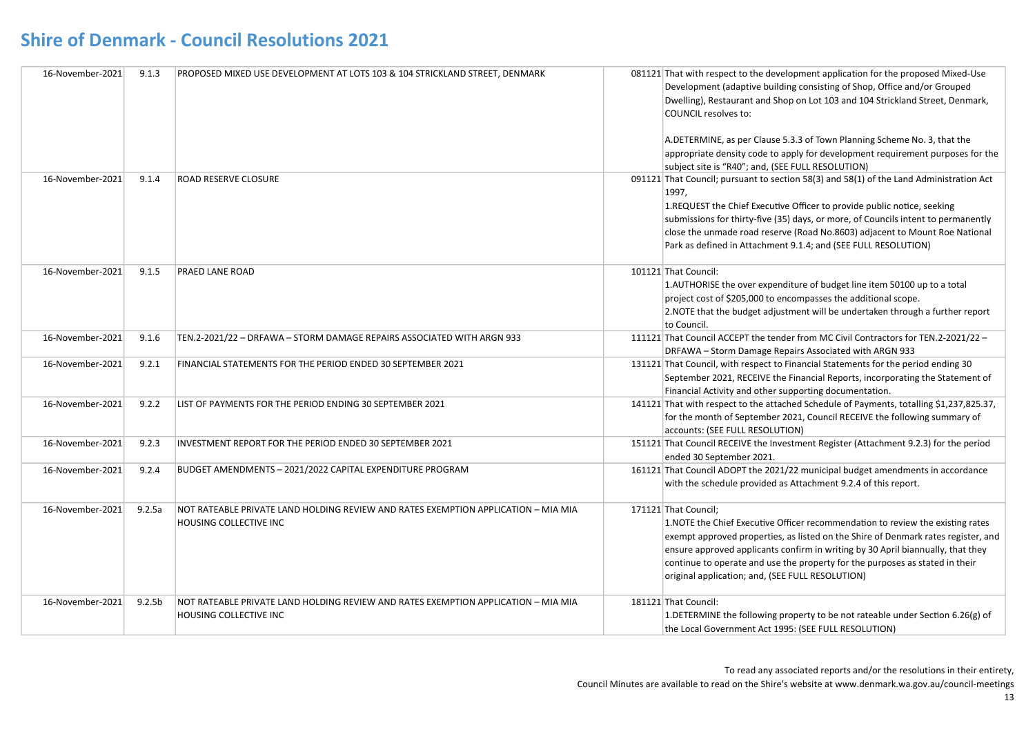| 16-November-2021 | 9.1.3              | PROPOSED MIXED USE DEVELOPMENT AT LOTS 103 & 104 STRICKLAND STREET, DENMARK                                  | 081121 That with respect to the development application for the proposed Mixed-Use<br>Development (adaptive building consisting of Shop, Office and/or Grouped<br>Dwelling), Restaurant and Shop on Lot 103 and 104 Strickland Street, Denmark,<br>COUNCIL resolves to:<br>A.DETERMINE, as per Clause 5.3.3 of Town Planning Scheme No. 3, that the<br>appropriate density code to apply for development requirement purposes for the<br>subject site is "R40"; and, (SEE FULL RESOLUTION) |
|------------------|--------------------|--------------------------------------------------------------------------------------------------------------|--------------------------------------------------------------------------------------------------------------------------------------------------------------------------------------------------------------------------------------------------------------------------------------------------------------------------------------------------------------------------------------------------------------------------------------------------------------------------------------------|
| 16-November-2021 | 9.1.4              | <b>ROAD RESERVE CLOSURE</b>                                                                                  | 091121 That Council; pursuant to section 58(3) and 58(1) of the Land Administration Act<br>1997,<br>1.REQUEST the Chief Executive Officer to provide public notice, seeking<br>submissions for thirty-five (35) days, or more, of Councils intent to permanently<br>close the unmade road reserve (Road No.8603) adjacent to Mount Roe National<br>Park as defined in Attachment 9.1.4; and (SEE FULL RESOLUTION)                                                                          |
| 16-November-2021 | 9.1.5              | <b>PRAED LANE ROAD</b>                                                                                       | 101121 That Council:<br>1.AUTHORISE the over expenditure of budget line item 50100 up to a total<br>project cost of \$205,000 to encompasses the additional scope.<br>2. NOTE that the budget adjustment will be undertaken through a further report<br>to Council.                                                                                                                                                                                                                        |
| 16-November-2021 | 9.1.6              | TEN.2-2021/22 - DRFAWA - STORM DAMAGE REPAIRS ASSOCIATED WITH ARGN 933                                       | 111121 That Council ACCEPT the tender from MC Civil Contractors for TEN.2-2021/22 -<br>DRFAWA - Storm Damage Repairs Associated with ARGN 933                                                                                                                                                                                                                                                                                                                                              |
| 16-November-2021 | 9.2.1              | FINANCIAL STATEMENTS FOR THE PERIOD ENDED 30 SEPTEMBER 2021                                                  | 131121 That Council, with respect to Financial Statements for the period ending 30<br>September 2021, RECEIVE the Financial Reports, incorporating the Statement of<br>Financial Activity and other supporting documentation.                                                                                                                                                                                                                                                              |
| 16-November-2021 | 9.2.2              | LIST OF PAYMENTS FOR THE PERIOD ENDING 30 SEPTEMBER 2021                                                     | 141121 That with respect to the attached Schedule of Payments, totalling \$1,237,825.37,<br>for the month of September 2021, Council RECEIVE the following summary of<br>accounts: (SEE FULL RESOLUTION)                                                                                                                                                                                                                                                                                   |
| 16-November-2021 | 9.2.3              | INVESTMENT REPORT FOR THE PERIOD ENDED 30 SEPTEMBER 2021                                                     | 151121 That Council RECEIVE the Investment Register (Attachment 9.2.3) for the period<br>ended 30 September 2021.                                                                                                                                                                                                                                                                                                                                                                          |
| 16-November-2021 | 9.2.4              | BUDGET AMENDMENTS - 2021/2022 CAPITAL EXPENDITURE PROGRAM                                                    | 161121 That Council ADOPT the 2021/22 municipal budget amendments in accordance<br>with the schedule provided as Attachment 9.2.4 of this report.                                                                                                                                                                                                                                                                                                                                          |
| 16-November-2021 | 9.2.5a             | NOT RATEABLE PRIVATE LAND HOLDING REVIEW AND RATES EXEMPTION APPLICATION - MIA MIA<br>HOUSING COLLECTIVE INC | 171121 That Council;<br>1. NOTE the Chief Executive Officer recommendation to review the existing rates<br>exempt approved properties, as listed on the Shire of Denmark rates register, and<br>ensure approved applicants confirm in writing by 30 April biannually, that they<br>continue to operate and use the property for the purposes as stated in their<br>original application; and, (SEE FULL RESOLUTION)                                                                        |
| 16-November-2021 | 9.2.5 <sub>b</sub> | NOT RATEABLE PRIVATE LAND HOLDING REVIEW AND RATES EXEMPTION APPLICATION - MIA MIA<br>HOUSING COLLECTIVE INC | 181121 That Council:<br>1. DETERMINE the following property to be not rateable under Section 6.26(g) of<br>the Local Government Act 1995: (SEE FULL RESOLUTION)                                                                                                                                                                                                                                                                                                                            |

To read any associated reports and/or the resolutions in their entirety,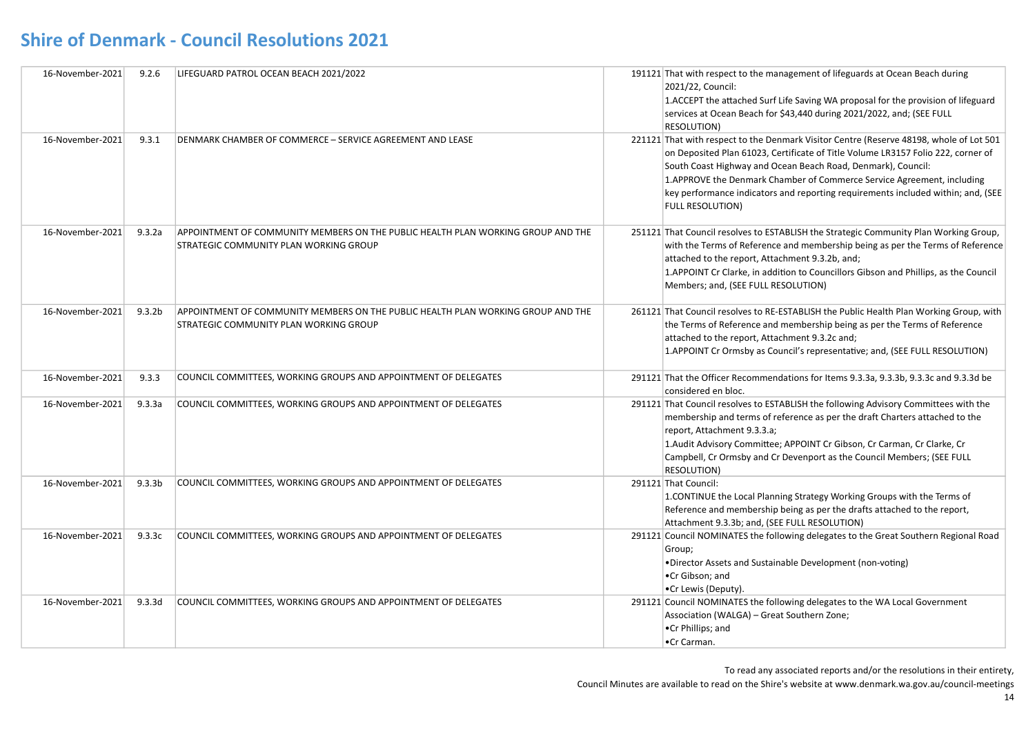| 16-November-2021 | 9.2.6              | LIFEGUARD PATROL OCEAN BEACH 2021/2022                                                                                     | 191121 That with respect to the management of lifeguards at Ocean Beach during<br>2021/22, Council:<br>1. ACCEPT the attached Surf Life Saving WA proposal for the provision of lifeguard<br>services at Ocean Beach for \$43,440 during 2021/2022, and; (SEE FULL<br>RESOLUTION)                                                                                                                                                     |
|------------------|--------------------|----------------------------------------------------------------------------------------------------------------------------|---------------------------------------------------------------------------------------------------------------------------------------------------------------------------------------------------------------------------------------------------------------------------------------------------------------------------------------------------------------------------------------------------------------------------------------|
| 16-November-2021 | 9.3.1              | DENMARK CHAMBER OF COMMERCE - SERVICE AGREEMENT AND LEASE                                                                  | 221121 That with respect to the Denmark Visitor Centre (Reserve 48198, whole of Lot 501<br>on Deposited Plan 61023, Certificate of Title Volume LR3157 Folio 222, corner of<br>South Coast Highway and Ocean Beach Road, Denmark), Council:<br>1. APPROVE the Denmark Chamber of Commerce Service Agreement, including<br>key performance indicators and reporting requirements included within; and, (SEE<br><b>FULL RESOLUTION)</b> |
| 16-November-2021 | 9.3.2a             | APPOINTMENT OF COMMUNITY MEMBERS ON THE PUBLIC HEALTH PLAN WORKING GROUP AND THE<br>STRATEGIC COMMUNITY PLAN WORKING GROUP | 251121 That Council resolves to ESTABLISH the Strategic Community Plan Working Group,<br>with the Terms of Reference and membership being as per the Terms of Reference<br>attached to the report, Attachment 9.3.2b, and;<br>1. APPOINT Cr Clarke, in addition to Councillors Gibson and Phillips, as the Council<br>Members; and, (SEE FULL RESOLUTION)                                                                             |
| 16-November-2021 | 9.3.2 <sub>b</sub> | APPOINTMENT OF COMMUNITY MEMBERS ON THE PUBLIC HEALTH PLAN WORKING GROUP AND THE<br>STRATEGIC COMMUNITY PLAN WORKING GROUP | 261121 That Council resolves to RE-ESTABLISH the Public Health Plan Working Group, with<br>the Terms of Reference and membership being as per the Terms of Reference<br>attached to the report, Attachment 9.3.2c and;<br>1.APPOINT Cr Ormsby as Council's representative; and, (SEE FULL RESOLUTION)                                                                                                                                 |
| 16-November-2021 | 9.3.3              | COUNCIL COMMITTEES, WORKING GROUPS AND APPOINTMENT OF DELEGATES                                                            | 291121 That the Officer Recommendations for Items 9.3.3a, 9.3.3b, 9.3.3c and 9.3.3d be<br>considered en bloc.                                                                                                                                                                                                                                                                                                                         |
| 16-November-2021 | 9.3.3a             | COUNCIL COMMITTEES, WORKING GROUPS AND APPOINTMENT OF DELEGATES                                                            | 291121 That Council resolves to ESTABLISH the following Advisory Committees with the<br>membership and terms of reference as per the draft Charters attached to the<br>report, Attachment 9.3.3.a;<br>1. Audit Advisory Committee; APPOINT Cr Gibson, Cr Carman, Cr Clarke, Cr<br>Campbell, Cr Ormsby and Cr Devenport as the Council Members; (SEE FULL<br><b>RESOLUTION)</b>                                                        |
| 16-November-2021 | 9.3.3 <sub>b</sub> | COUNCIL COMMITTEES, WORKING GROUPS AND APPOINTMENT OF DELEGATES                                                            | 291121 That Council:<br>1.CONTINUE the Local Planning Strategy Working Groups with the Terms of<br>Reference and membership being as per the drafts attached to the report,<br>Attachment 9.3.3b; and, (SEE FULL RESOLUTION)                                                                                                                                                                                                          |
| 16-November-2021 | 9.3.3c             | COUNCIL COMMITTEES, WORKING GROUPS AND APPOINTMENT OF DELEGATES                                                            | 291121 Council NOMINATES the following delegates to the Great Southern Regional Road<br>Group;<br>•Director Assets and Sustainable Development (non-voting)<br>•Cr Gibson; and<br>•Cr Lewis (Deputy).                                                                                                                                                                                                                                 |
| 16-November-2021 | 9.3.3d             | COUNCIL COMMITTEES, WORKING GROUPS AND APPOINTMENT OF DELEGATES                                                            | 291121 Council NOMINATES the following delegates to the WA Local Government<br>Association (WALGA) - Great Southern Zone;<br>.Cr Phillips; and<br>•Cr Carman.                                                                                                                                                                                                                                                                         |

To read any associated reports and/or the resolutions in their entirety,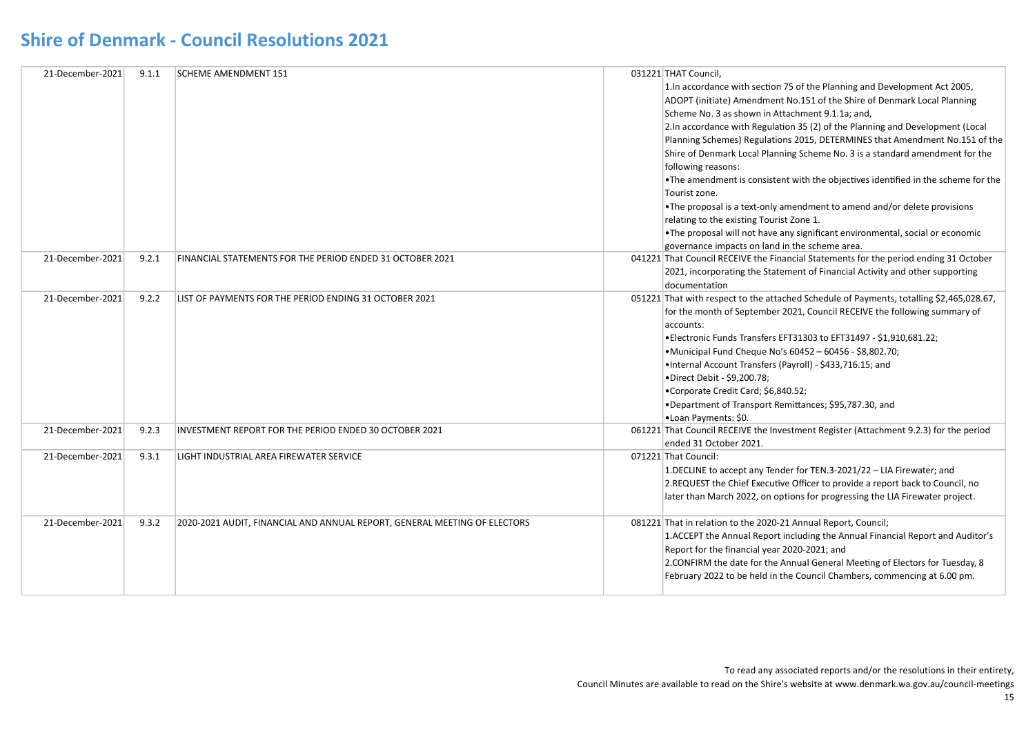| 21-December-2021 | 9.1.1 | <b>SCHEME AMENDMENT 151</b>                                               | 031221 THAT Council,<br>1. In accordance with section 75 of the Planning and Development Act 2005,<br>ADOPT (initiate) Amendment No.151 of the Shire of Denmark Local Planning<br>Scheme No. 3 as shown in Attachment 9.1.1a; and,<br>2. In accordance with Regulation 35 (2) of the Planning and Development (Local<br>Planning Schemes) Regulations 2015, DETERMINES that Amendment No.151 of the<br>Shire of Denmark Local Planning Scheme No. 3 is a standard amendment for the<br>following reasons:<br>• The amendment is consistent with the objectives identified in the scheme for the<br>Tourist zone.<br>•The proposal is a text-only amendment to amend and/or delete provisions<br>relating to the existing Tourist Zone 1.<br>. The proposal will not have any significant environmental, social or economic<br>governance impacts on land in the scheme area. |
|------------------|-------|---------------------------------------------------------------------------|------------------------------------------------------------------------------------------------------------------------------------------------------------------------------------------------------------------------------------------------------------------------------------------------------------------------------------------------------------------------------------------------------------------------------------------------------------------------------------------------------------------------------------------------------------------------------------------------------------------------------------------------------------------------------------------------------------------------------------------------------------------------------------------------------------------------------------------------------------------------------|
| 21-December-2021 | 9.2.1 | FINANCIAL STATEMENTS FOR THE PERIOD ENDED 31 OCTOBER 2021                 | 041221 That Council RECEIVE the Financial Statements for the period ending 31 October<br>2021, incorporating the Statement of Financial Activity and other supporting<br>documentation                                                                                                                                                                                                                                                                                                                                                                                                                                                                                                                                                                                                                                                                                       |
| 21-December-2021 | 9.2.2 | LIST OF PAYMENTS FOR THE PERIOD ENDING 31 OCTOBER 2021                    | 051221 That with respect to the attached Schedule of Payments, totalling \$2,465,028.67,<br>for the month of September 2021, Council RECEIVE the following summary of<br>accounts:<br>• Electronic Funds Transfers EFT31303 to EFT31497 - \$1,910,681.22;<br>•Municipal Fund Cheque No's 60452 - 60456 - \$8,802.70;<br>.Internal Account Transfers (Payroll) - \$433,716.15; and<br>•Direct Debit - \$9,200.78;<br>•Corporate Credit Card; \$6,840.52;<br>•Department of Transport Remittances; \$95,787.30, and<br>•Loan Payments: \$0.                                                                                                                                                                                                                                                                                                                                    |
| 21-December-2021 | 9.2.3 | INVESTMENT REPORT FOR THE PERIOD ENDED 30 OCTOBER 2021                    | 061221 That Council RECEIVE the Investment Register (Attachment 9.2.3) for the period<br>ended 31 October 2021.                                                                                                                                                                                                                                                                                                                                                                                                                                                                                                                                                                                                                                                                                                                                                              |
| 21-December-2021 | 9.3.1 | LIGHT INDUSTRIAL AREA FIREWATER SERVICE                                   | 071221 That Council:<br>1.DECLINE to accept any Tender for TEN.3-2021/22 - LIA Firewater; and<br>2.REQUEST the Chief Executive Officer to provide a report back to Council, no<br>later than March 2022, on options for progressing the LIA Firewater project.                                                                                                                                                                                                                                                                                                                                                                                                                                                                                                                                                                                                               |
| 21-December-2021 | 9.3.2 | 2020-2021 AUDIT, FINANCIAL AND ANNUAL REPORT, GENERAL MEETING OF ELECTORS | 081221 That in relation to the 2020-21 Annual Report, Council;<br>1. ACCEPT the Annual Report including the Annual Financial Report and Auditor's<br>Report for the financial year 2020-2021; and<br>2. CONFIRM the date for the Annual General Meeting of Electors for Tuesday, 8<br>February 2022 to be held in the Council Chambers, commencing at 6.00 pm.                                                                                                                                                                                                                                                                                                                                                                                                                                                                                                               |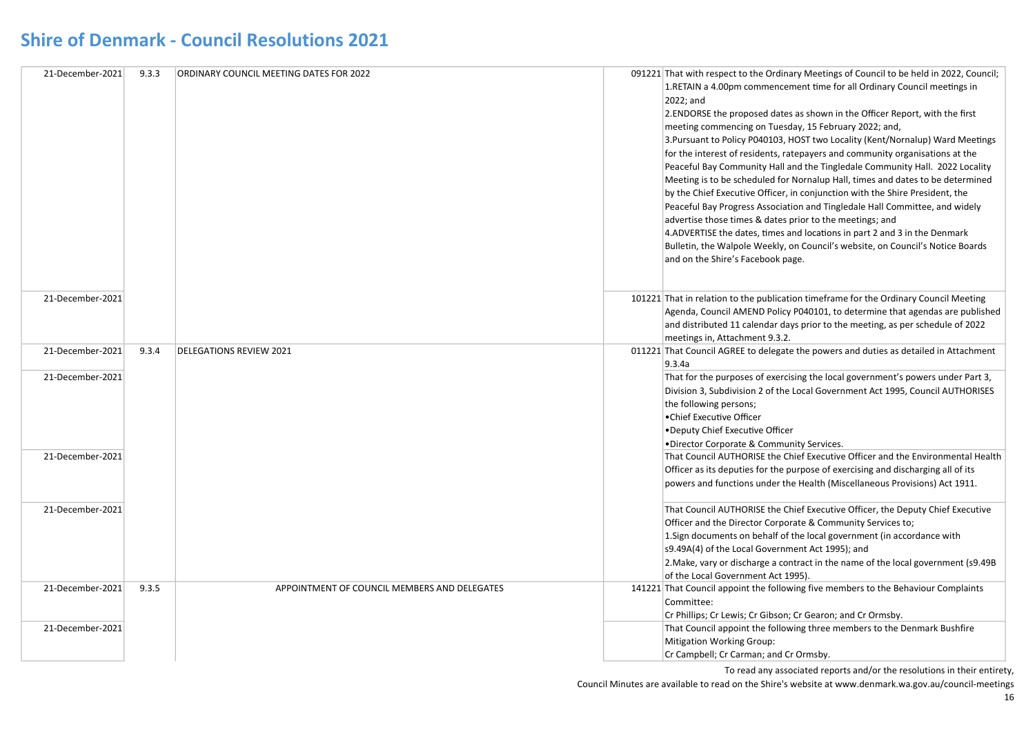| 21-December-2021 | 9.3.3 | ORDINARY COUNCIL MEETING DATES FOR 2022      | 091221 That with respect to the Ordinary Meetings of Council to be held in 2022, Council; |
|------------------|-------|----------------------------------------------|-------------------------------------------------------------------------------------------|
|                  |       |                                              | 1. RETAIN a 4.00pm commencement time for all Ordinary Council meetings in                 |
|                  |       |                                              | 2022; and                                                                                 |
|                  |       |                                              | 2. ENDORSE the proposed dates as shown in the Officer Report, with the first              |
|                  |       |                                              | meeting commencing on Tuesday, 15 February 2022; and,                                     |
|                  |       |                                              | 3. Pursuant to Policy P040103, HOST two Locality (Kent/Nornalup) Ward Meetings            |
|                  |       |                                              | for the interest of residents, ratepayers and community organisations at the              |
|                  |       |                                              | Peaceful Bay Community Hall and the Tingledale Community Hall. 2022 Locality              |
|                  |       |                                              | Meeting is to be scheduled for Nornalup Hall, times and dates to be determined            |
|                  |       |                                              | by the Chief Executive Officer, in conjunction with the Shire President, the              |
|                  |       |                                              | Peaceful Bay Progress Association and Tingledale Hall Committee, and widely               |
|                  |       |                                              | advertise those times & dates prior to the meetings; and                                  |
|                  |       |                                              | 4. ADVERTISE the dates, times and locations in part 2 and 3 in the Denmark                |
|                  |       |                                              | Bulletin, the Walpole Weekly, on Council's website, on Council's Notice Boards            |
|                  |       |                                              | and on the Shire's Facebook page.                                                         |
|                  |       |                                              |                                                                                           |
|                  |       |                                              |                                                                                           |
| 21-December-2021 |       |                                              | 101221 That in relation to the publication timeframe for the Ordinary Council Meeting     |
|                  |       |                                              | Agenda, Council AMEND Policy P040101, to determine that agendas are published             |
|                  |       |                                              | and distributed 11 calendar days prior to the meeting, as per schedule of 2022            |
|                  |       |                                              | meetings in, Attachment 9.3.2.                                                            |
| 21-December-2021 | 9.3.4 | <b>DELEGATIONS REVIEW 2021</b>               | 011221 That Council AGREE to delegate the powers and duties as detailed in Attachment     |
|                  |       |                                              | 9.3.4a                                                                                    |
| 21-December-2021 |       |                                              | That for the purposes of exercising the local government's powers under Part 3,           |
|                  |       |                                              | Division 3, Subdivision 2 of the Local Government Act 1995, Council AUTHORISES            |
|                  |       |                                              | the following persons;                                                                    |
|                  |       |                                              | •Chief Executive Officer                                                                  |
|                  |       |                                              | .Deputy Chief Executive Officer                                                           |
|                  |       |                                              | •Director Corporate & Community Services.                                                 |
| 21-December-2021 |       |                                              | That Council AUTHORISE the Chief Executive Officer and the Environmental Health           |
|                  |       |                                              | Officer as its deputies for the purpose of exercising and discharging all of its          |
|                  |       |                                              | powers and functions under the Health (Miscellaneous Provisions) Act 1911.                |
| 21-December-2021 |       |                                              | That Council AUTHORISE the Chief Executive Officer, the Deputy Chief Executive            |
|                  |       |                                              | Officer and the Director Corporate & Community Services to;                               |
|                  |       |                                              | 1. Sign documents on behalf of the local government (in accordance with                   |
|                  |       |                                              | s9.49A(4) of the Local Government Act 1995); and                                          |
|                  |       |                                              | 2. Make, vary or discharge a contract in the name of the local government (s9.49B)        |
|                  |       |                                              | of the Local Government Act 1995).                                                        |
| 21-December-2021 | 9.3.5 | APPOINTMENT OF COUNCIL MEMBERS AND DELEGATES | 141221 That Council appoint the following five members to the Behaviour Complaints        |
|                  |       |                                              | Committee:                                                                                |
|                  |       |                                              | Cr Phillips; Cr Lewis; Cr Gibson; Cr Gearon; and Cr Ormsby.                               |
| 21-December-2021 |       |                                              | That Council appoint the following three members to the Denmark Bushfire                  |
|                  |       |                                              | <b>Mitigation Working Group:</b>                                                          |
|                  |       |                                              | Cr Campbell; Cr Carman; and Cr Ormsby.                                                    |
|                  |       |                                              |                                                                                           |

To read any associated reports and/or the resolutions in their entirety,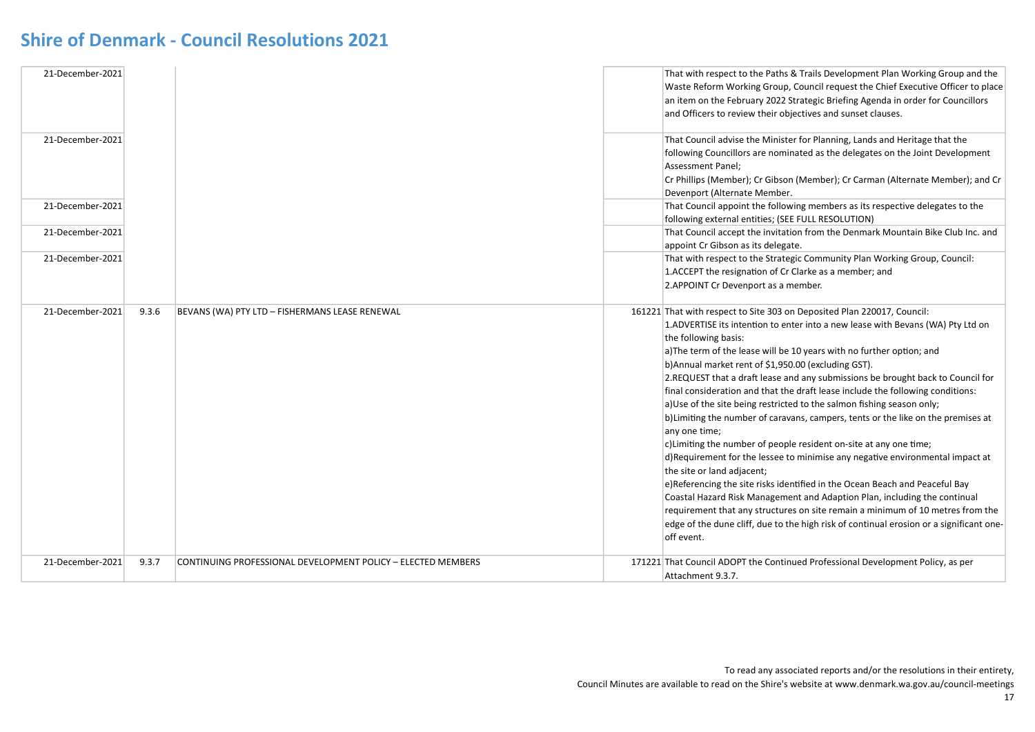| 21-December-2021<br>21-December-2021<br>21-December-2021<br>21-December-2021<br>21-December-2021 |       |                                                              | That with respect to the Paths & Trails Development Plan Working Group and the<br>Waste Reform Working Group, Council request the Chief Executive Officer to place<br>an item on the February 2022 Strategic Briefing Agenda in order for Councillors<br>and Officers to review their objectives and sunset clauses.<br>That Council advise the Minister for Planning, Lands and Heritage that the<br>following Councillors are nominated as the delegates on the Joint Development<br>Assessment Panel;<br>Cr Phillips (Member); Cr Gibson (Member); Cr Carman (Alternate Member); and Cr<br>Devenport (Alternate Member.<br>That Council appoint the following members as its respective delegates to the<br>following external entities; (SEE FULL RESOLUTION)<br>That Council accept the invitation from the Denmark Mountain Bike Club Inc. and<br>appoint Cr Gibson as its delegate.<br>That with respect to the Strategic Community Plan Working Group, Council:<br>1.ACCEPT the resignation of Cr Clarke as a member; and<br>2. APPOINT Cr Devenport as a member.                                                                                                                                              |
|--------------------------------------------------------------------------------------------------|-------|--------------------------------------------------------------|------------------------------------------------------------------------------------------------------------------------------------------------------------------------------------------------------------------------------------------------------------------------------------------------------------------------------------------------------------------------------------------------------------------------------------------------------------------------------------------------------------------------------------------------------------------------------------------------------------------------------------------------------------------------------------------------------------------------------------------------------------------------------------------------------------------------------------------------------------------------------------------------------------------------------------------------------------------------------------------------------------------------------------------------------------------------------------------------------------------------------------------------------------------------------------------------------------------------|
| 21-December-2021                                                                                 | 9.3.6 | BEVANS (WA) PTY LTD - FISHERMANS LEASE RENEWAL               | 161221 That with respect to Site 303 on Deposited Plan 220017, Council:<br>1.ADVERTISE its intention to enter into a new lease with Bevans (WA) Pty Ltd on<br>the following basis:<br>a) The term of the lease will be 10 years with no further option; and<br>b) Annual market rent of \$1,950.00 (excluding GST).<br>2. REQUEST that a draft lease and any submissions be brought back to Council for<br>final consideration and that the draft lease include the following conditions:<br>a) Use of the site being restricted to the salmon fishing season only;<br>b) Limiting the number of caravans, campers, tents or the like on the premises at<br>any one time;<br>c) Limiting the number of people resident on-site at any one time;<br>d) Requirement for the lessee to minimise any negative environmental impact at<br>the site or land adjacent;<br>e)Referencing the site risks identified in the Ocean Beach and Peaceful Bay<br>Coastal Hazard Risk Management and Adaption Plan, including the continual<br>requirement that any structures on site remain a minimum of 10 metres from the<br>edge of the dune cliff, due to the high risk of continual erosion or a significant one-<br>off event. |
| 21-December-2021                                                                                 | 9.3.7 | CONTINUING PROFESSIONAL DEVELOPMENT POLICY - ELECTED MEMBERS | 171221 That Council ADOPT the Continued Professional Development Policy, as per<br>Attachment 9.3.7.                                                                                                                                                                                                                                                                                                                                                                                                                                                                                                                                                                                                                                                                                                                                                                                                                                                                                                                                                                                                                                                                                                                   |